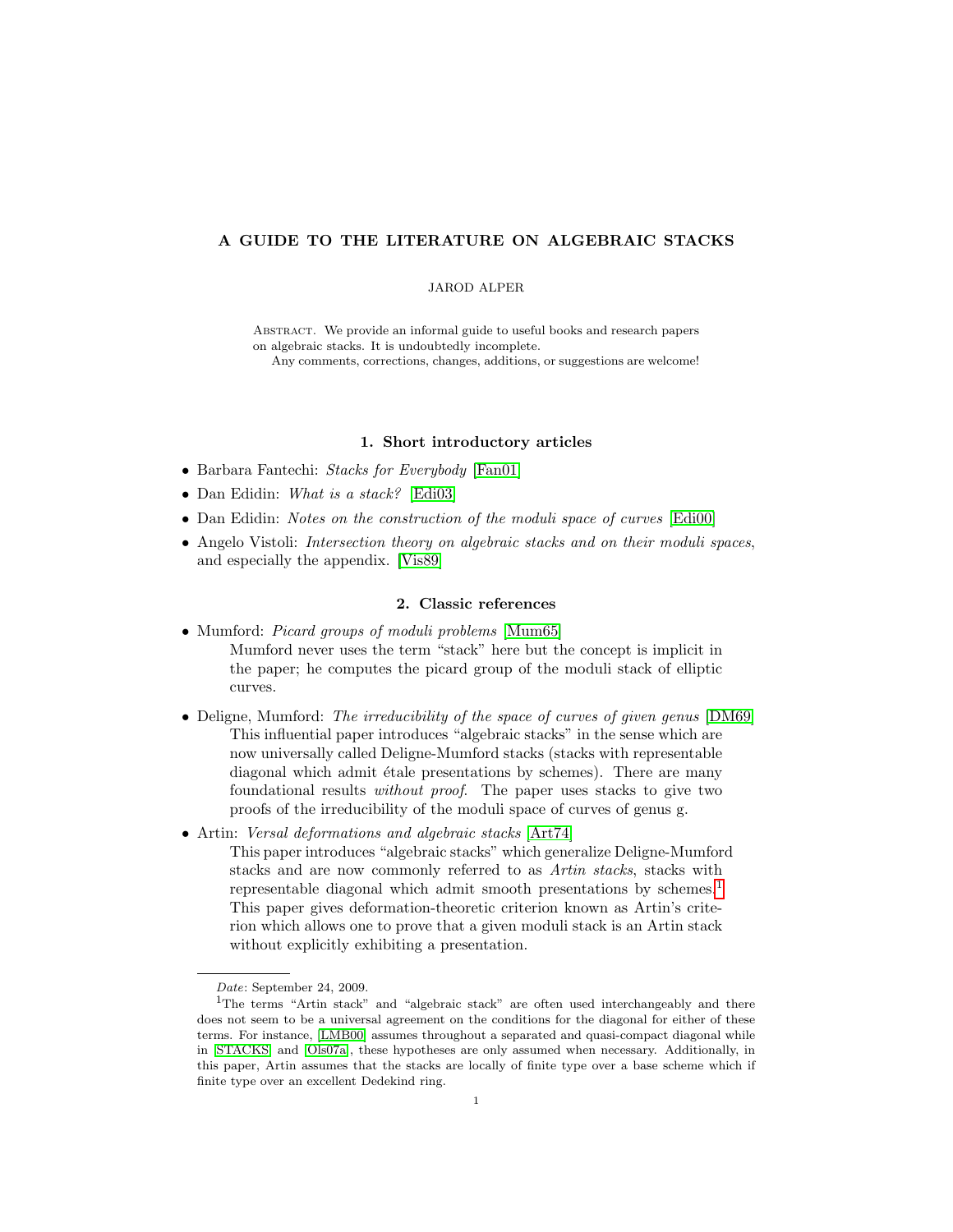# A GUIDE TO THE LITERATURE ON ALGEBRAIC STACKS

#### JAROD ALPER

ABSTRACT. We provide an informal guide to useful books and research papers on algebraic stacks. It is undoubtedly incomplete.

Any comments, corrections, changes, additions, or suggestions are welcome!

### 1. Short introductory articles

- Barbara Fantechi: Stacks for Everybody [\[Fan01\]](#page-14-0)
- Dan Edidin: What is a stack? [\[Edi03\]](#page-14-1)
- Dan Edidin: Notes on the construction of the moduli space of curves [\[Edi00\]](#page-14-2)
- Angelo Vistoli: Intersection theory on algebraic stacks and on their moduli spaces, and especially the appendix. [\[Vis89\]](#page-15-0)

### 2. Classic references

- Mumford: *Picard groups of moduli problems* [\[Mum65\]](#page-15-1) Mumford never uses the term "stack" here but the concept is implicit in the paper; he computes the picard group of the moduli stack of elliptic curves.
- Deligne, Mumford: The irreducibility of the space of curves of given genus [\[DM69\]](#page-14-3) This influential paper introduces "algebraic stacks" in the sense which are now universally called Deligne-Mumford stacks (stacks with representable diagonal which admit étale presentations by schemes). There are many foundational results without proof. The paper uses stacks to give two proofs of the irreducibility of the moduli space of curves of genus g.
- Artin: Versal deformations and algebraic stacks [\[Art74\]](#page-13-0)
	- This paper introduces "algebraic stacks" which generalize Deligne-Mumford stacks and are now commonly referred to as Artin stacks, stacks with representable diagonal which admit smooth presentations by schemes.<sup>[1](#page-0-0)</sup> This paper gives deformation-theoretic criterion known as Artin's criterion which allows one to prove that a given moduli stack is an Artin stack without explicitly exhibiting a presentation.

<span id="page-0-0"></span>Date: September 24, 2009.

<sup>&</sup>lt;sup>1</sup>The terms "Artin stack" and "algebraic stack" are often used interchangeably and there does not seem to be a universal agreement on the conditions for the diagonal for either of these terms. For instance, [\[LMB00\]](#page-14-4) assumes throughout a separated and quasi-compact diagonal while in [\[STACKS\]](#page-15-2) and [\[Ols07a\]](#page-15-3), these hypotheses are only assumed when necessary. Additionally, in this paper, Artin assumes that the stacks are locally of finite type over a base scheme which if finite type over an excellent Dedekind ring.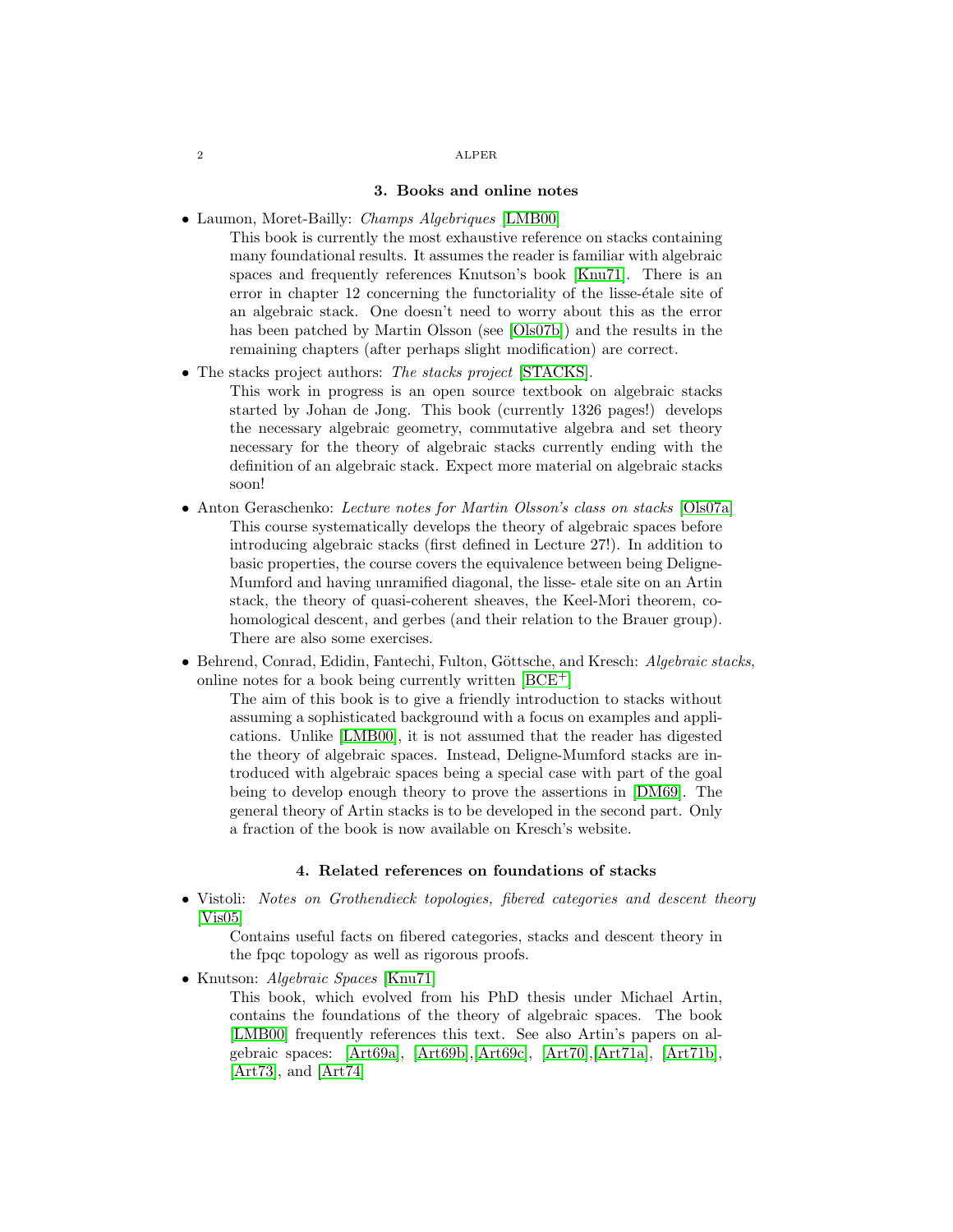### 3. Books and online notes

• Laumon, Moret-Bailly: Champs Algebriques [\[LMB00\]](#page-14-4)

This book is currently the most exhaustive reference on stacks containing many foundational results. It assumes the reader is familiar with algebraic spaces and frequently references Knutson's book [\[Knu71\]](#page-14-5). There is an error in chapter 12 concerning the functoriality of the lisse-étale site of an algebraic stack. One doesn't need to worry about this as the error has been patched by Martin Olsson (see [\[Ols07b\]](#page-15-4)) and the results in the remaining chapters (after perhaps slight modification) are correct.

• The stacks project authors: The stacks project [\[STACKS\]](#page-15-2).

This work in progress is an open source textbook on algebraic stacks started by Johan de Jong. This book (currently 1326 pages!) develops the necessary algebraic geometry, commutative algebra and set theory necessary for the theory of algebraic stacks currently ending with the definition of an algebraic stack. Expect more material on algebraic stacks soon!

- Anton Geraschenko: Lecture notes for Martin Olsson's class on stacks [\[Ols07a\]](#page-15-3) This course systematically develops the theory of algebraic spaces before introducing algebraic stacks (first defined in Lecture 27!). In addition to basic properties, the course covers the equivalence between being Deligne-Mumford and having unramified diagonal, the lisse- etale site on an Artin stack, the theory of quasi-coherent sheaves, the Keel-Mori theorem, cohomological descent, and gerbes (and their relation to the Brauer group). There are also some exercises.
- Behrend, Conrad, Edidin, Fantechi, Fulton, Göttsche, and Kresch: Algebraic stacks, online notes for a book being currently written  $[BCE^+]$  $[BCE^+]$

The aim of this book is to give a friendly introduction to stacks without assuming a sophisticated background with a focus on examples and applications. Unlike [\[LMB00\]](#page-14-4), it is not assumed that the reader has digested the theory of algebraic spaces. Instead, Deligne-Mumford stacks are introduced with algebraic spaces being a special case with part of the goal being to develop enough theory to prove the assertions in [\[DM69\]](#page-14-3). The general theory of Artin stacks is to be developed in the second part. Only a fraction of the book is now available on Kresch's website.

# 4. Related references on foundations of stacks

• Vistoli: Notes on Grothendieck topologies, fibered categories and descent theory [\[Vis05\]](#page-15-5)

Contains useful facts on fibered categories, stacks and descent theory in the fpqc topology as well as rigorous proofs.

• Knutson: Algebraic Spaces [\[Knu71\]](#page-14-5)

This book, which evolved from his PhD thesis under Michael Artin, contains the foundations of the theory of algebraic spaces. The book [\[LMB00\]](#page-14-4) frequently references this text. See also Artin's papers on algebraic spaces: [\[Art69a\]](#page-13-2), [\[Art69b\]](#page-13-3),[\[Art69c\]](#page-13-4), [\[Art70\]](#page-13-5),[\[Art71a\]](#page-13-6), [\[Art71b\]](#page-13-7), [\[Art73\]](#page-13-8), and [\[Art74\]](#page-13-0)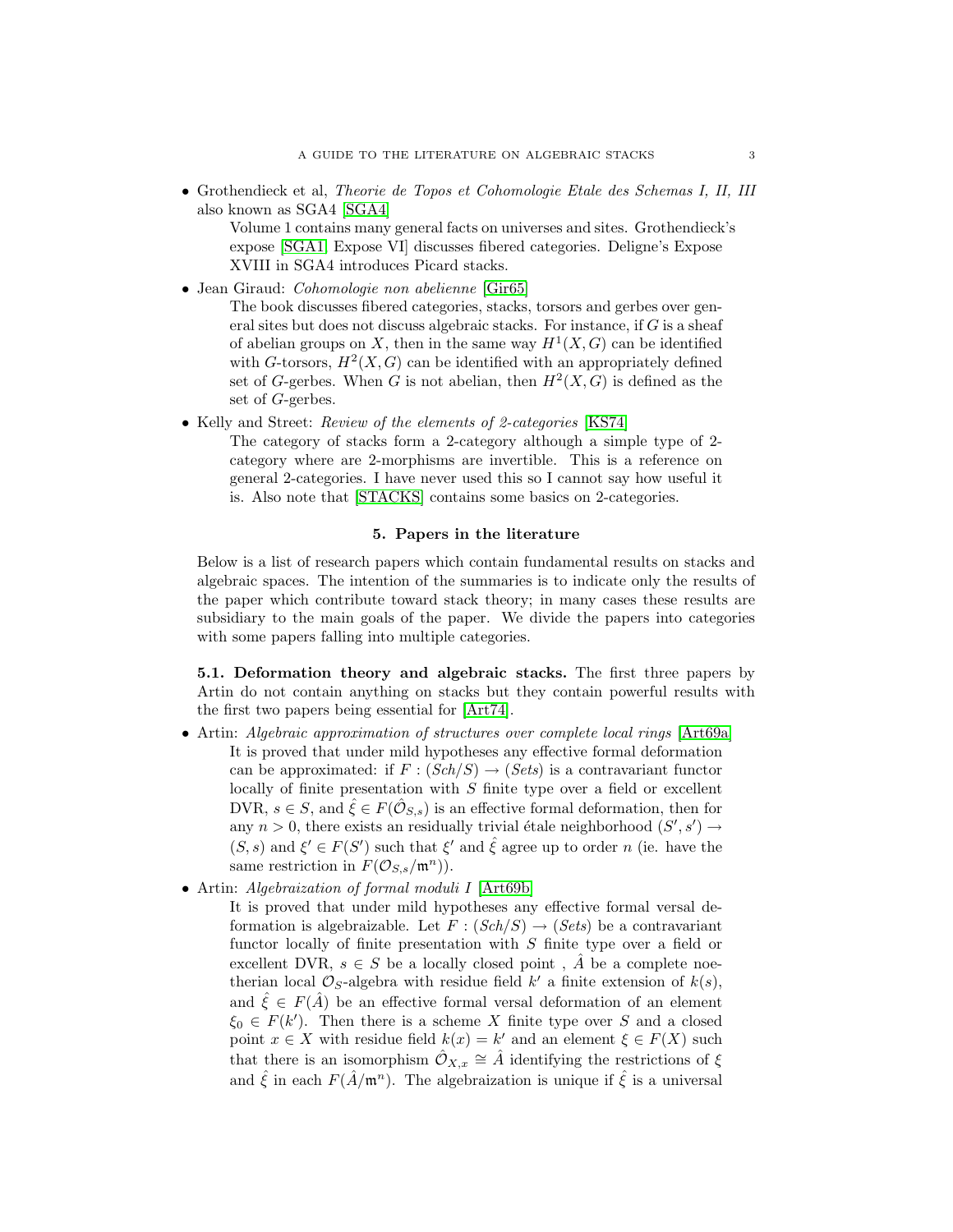• Grothendieck et al, Theorie de Topos et Cohomologie Etale des Schemas I, II, III also known as SGA4 [\[SGA4\]](#page-15-6)

Volume 1 contains many general facts on universes and sites. Grothendieck's expose [\[SGA1,](#page-15-7) Expose VI] discusses fibered categories. Deligne's Expose XVIII in SGA4 introduces Picard stacks.

• Jean Giraud: Cohomologie non abelienne [\[Gir65\]](#page-14-6)

The book discusses fibered categories, stacks, torsors and gerbes over general sites but does not discuss algebraic stacks. For instance, if G is a sheaf of abelian groups on X, then in the same way  $H^1(X, G)$  can be identified with G-torsors,  $H^2(X, G)$  can be identified with an appropriately defined set of G-gerbes. When G is not abelian, then  $H^2(X, G)$  is defined as the set of G-gerbes.

• Kelly and Street: *Review of the elements of 2-categories* [\[KS74\]](#page-14-7)

The category of stacks form a 2-category although a simple type of 2 category where are 2-morphisms are invertible. This is a reference on general 2-categories. I have never used this so I cannot say how useful it is. Also note that [\[STACKS\]](#page-15-2) contains some basics on 2-categories.

### 5. Papers in the literature

Below is a list of research papers which contain fundamental results on stacks and algebraic spaces. The intention of the summaries is to indicate only the results of the paper which contribute toward stack theory; in many cases these results are subsidiary to the main goals of the paper. We divide the papers into categories with some papers falling into multiple categories.

5.1. Deformation theory and algebraic stacks. The first three papers by Artin do not contain anything on stacks but they contain powerful results with the first two papers being essential for [\[Art74\]](#page-13-0).

- Artin: Algebraic approximation of structures over complete local rings [\[Art69a\]](#page-13-2) It is proved that under mild hypotheses any effective formal deformation can be approximated: if  $F : (Sch/S) \rightarrow (Sets)$  is a contravariant functor locally of finite presentation with  $S$  finite type over a field or excellent DVR,  $s \in S$ , and  $\hat{\xi} \in F(\hat{\mathcal{O}}_{S,s})$  is an effective formal deformation, then for any  $n > 0$ , there exists an residually trivial étale neighborhood  $(S', s') \rightarrow$  $(S, s)$  and  $\xi' \in F(S')$  such that  $\xi'$  and  $\hat{\xi}$  agree up to order n (ie. have the same restriction in  $F(\mathcal{O}_{S,s}/\mathfrak{m}^n)$ .
- Artin: Algebraization of formal moduli I [\[Art69b\]](#page-13-3)

It is proved that under mild hypotheses any effective formal versal deformation is algebraizable. Let  $F : (Sch/S) \rightarrow (Sets)$  be a contravariant functor locally of finite presentation with S finite type over a field or excellent DVR,  $s \in S$  be a locally closed point,  $\hat{A}$  be a complete noetherian local  $\mathcal{O}_S$ -algebra with residue field  $k'$  a finite extension of  $k(s)$ , and  $\hat{\xi} \in F(\hat{A})$  be an effective formal versal deformation of an element  $\xi_0 \in F(k')$ . Then there is a scheme X finite type over S and a closed point  $x \in X$  with residue field  $k(x) = k'$  and an element  $\xi \in F(X)$  such that there is an isomorphism  $\hat{\mathcal{O}}_{X,x} \cong \hat{A}$  identifying the restrictions of  $\xi$ and  $\hat{\xi}$  in each  $F(\hat{A}/m^n)$ . The algebraization is unique if  $\hat{\xi}$  is a universal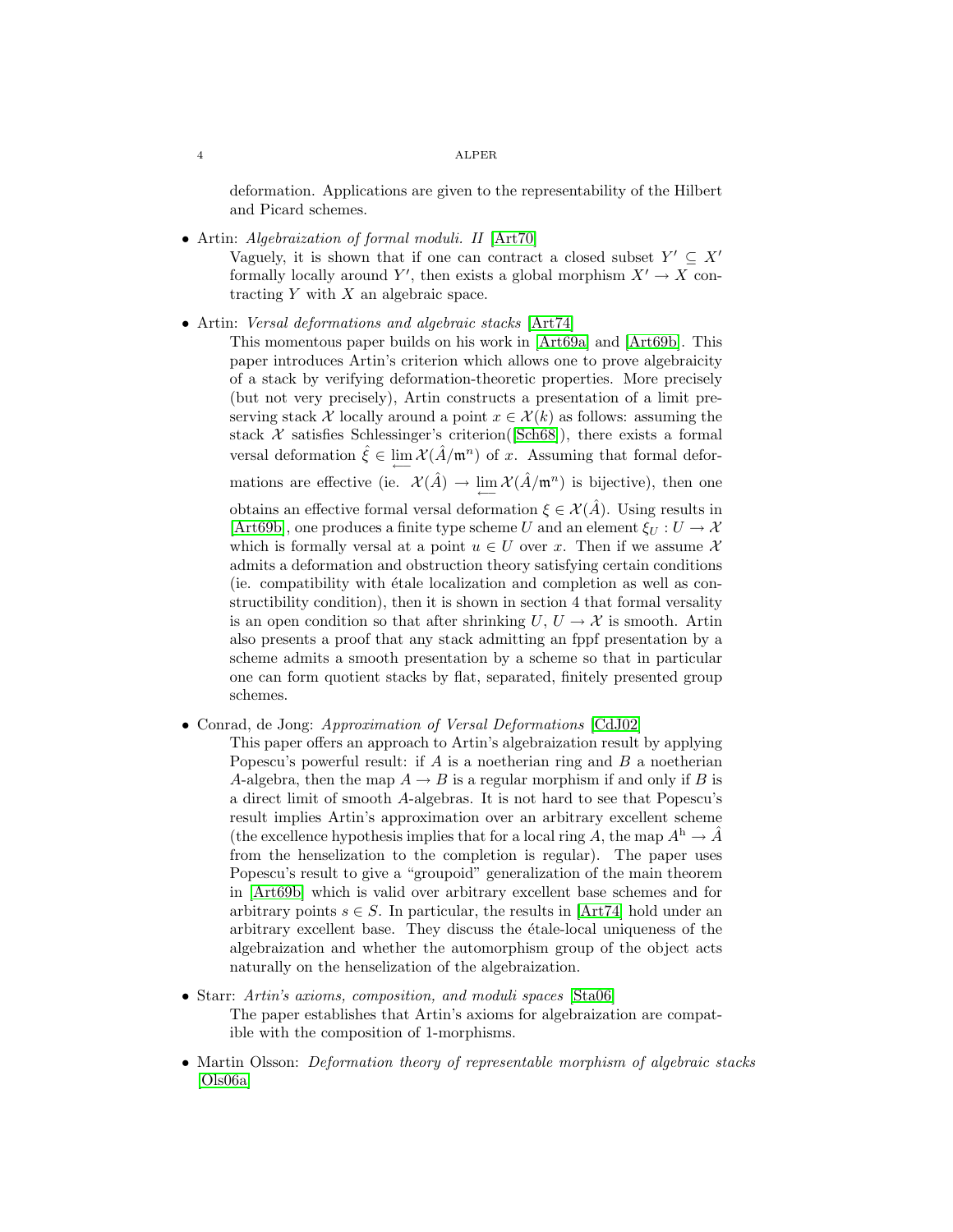deformation. Applications are given to the representability of the Hilbert and Picard schemes.

• Artin: Algebraization of formal moduli. II [\[Art70\]](#page-13-5)

Vaguely, it is shown that if one can contract a closed subset  $Y' \subseteq X'$ formally locally around Y', then exists a global morphism  $X' \to X$  contracting  $Y$  with  $X$  an algebraic space.

• Artin: Versal deformations and algebraic stacks [\[Art74\]](#page-13-0)

This momentous paper builds on his work in [\[Art69a\]](#page-13-2) and [\[Art69b\]](#page-13-3). This paper introduces Artin's criterion which allows one to prove algebraicity of a stack by verifying deformation-theoretic properties. More precisely (but not very precisely), Artin constructs a presentation of a limit preserving stack X locally around a point  $x \in \mathcal{X}(k)$  as follows: assuming the stack  $\mathcal X$  satisfies Schlessinger's criterion([\[Sch68\]](#page-15-8)), there exists a formal versal deformation  $\hat{\xi} \in \lim_{n \to \infty} \mathcal{X}(\hat{A}/\mathfrak{m}^n)$  of x. Assuming that formal deformations are effective (ie.  $\mathcal{X}(\hat{A}) \to \lim_{\longleftarrow} \mathcal{X}(\hat{A}/\mathfrak{m}^n)$  is bijective), then one obtains an effective formal versal deformation  $\xi \in \mathcal{X}(\hat{A})$ . Using results in [\[Art69b\]](#page-13-3), one produces a finite type scheme U and an element  $\xi_U : U \to X$ which is formally versal at a point  $u \in U$  over x. Then if we assume X admits a deformation and obstruction theory satisfying certain conditions (ie. compatibility with étale localization and completion as well as constructibility condition), then it is shown in section 4 that formal versality is an open condition so that after shrinking  $U, U \rightarrow \mathcal{X}$  is smooth. Artin also presents a proof that any stack admitting an fppf presentation by a scheme admits a smooth presentation by a scheme so that in particular one can form quotient stacks by flat, separated, finitely presented group schemes.

• Conrad, de Jong: Approximation of Versal Deformations [\[CdJ02\]](#page-13-9)

This paper offers an approach to Artin's algebraization result by applying Popescu's powerful result: if  $A$  is a noetherian ring and  $B$  a noetherian A-algebra, then the map  $A \to B$  is a regular morphism if and only if B is a direct limit of smooth A-algebras. It is not hard to see that Popescu's result implies Artin's approximation over an arbitrary excellent scheme (the excellence hypothesis implies that for a local ring A, the map  $A^{\text{h}} \to \hat{A}$ from the henselization to the completion is regular). The paper uses Popescu's result to give a "groupoid" generalization of the main theorem in [\[Art69b\]](#page-13-3) which is valid over arbitrary excellent base schemes and for arbitrary points  $s \in S$ . In particular, the results in [\[Art74\]](#page-13-0) hold under an arbitrary excellent base. They discuss the étale-local uniqueness of the algebraization and whether the automorphism group of the object acts naturally on the henselization of the algebraization.

- Starr: Artin's axioms, composition, and moduli spaces [\[Sta06\]](#page-15-9) The paper establishes that Artin's axioms for algebraization are compatible with the composition of 1-morphisms.
- Martin Olsson: *Deformation theory of representable morphism of algebraic stacks* [\[Ols06a\]](#page-15-10)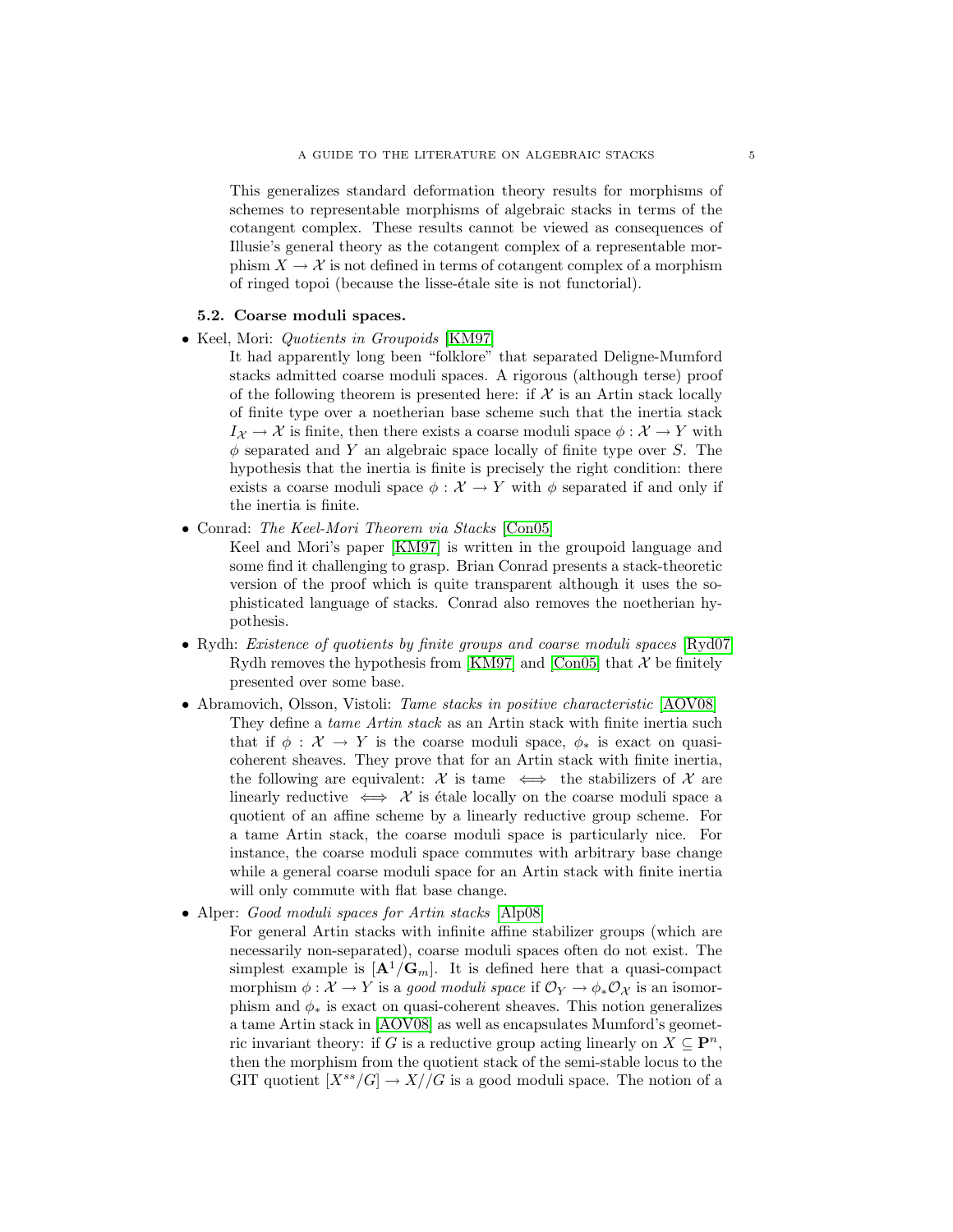This generalizes standard deformation theory results for morphisms of schemes to representable morphisms of algebraic stacks in terms of the cotangent complex. These results cannot be viewed as consequences of Illusie's general theory as the cotangent complex of a representable morphism  $X \to \mathcal{X}$  is not defined in terms of cotangent complex of a morphism of ringed topoi (because the lisse-etale site is not functorial).

# 5.2. Coarse moduli spaces.

• Keel, Mori: Quotients in Groupoids [\[KM97\]](#page-14-8)

It had apparently long been "folklore" that separated Deligne-Mumford stacks admitted coarse moduli spaces. A rigorous (although terse) proof of the following theorem is presented here: if  $X$  is an Artin stack locally of finite type over a noetherian base scheme such that the inertia stack  $I_{\mathcal{X}} \to \mathcal{X}$  is finite, then there exists a coarse moduli space  $\phi : \mathcal{X} \to Y$  with  $\phi$  separated and Y an algebraic space locally of finite type over S. The hypothesis that the inertia is finite is precisely the right condition: there exists a coarse moduli space  $\phi : \mathcal{X} \to Y$  with  $\phi$  separated if and only if the inertia is finite.

• Conrad: The Keel-Mori Theorem via Stacks [\[Con05\]](#page-14-9)

Keel and Mori's paper [\[KM97\]](#page-14-8) is written in the groupoid language and some find it challenging to grasp. Brian Conrad presents a stack-theoretic version of the proof which is quite transparent although it uses the sophisticated language of stacks. Conrad also removes the noetherian hypothesis.

- Rydh: *Existence of quotients by finite groups and coarse moduli spaces* [\[Ryd07\]](#page-15-11) Rydh removes the hypothesis from [\[KM97\]](#page-14-8) and [\[Con05\]](#page-14-9) that  $\mathcal X$  be finitely presented over some base.
- Abramovich, Olsson, Vistoli: Tame stacks in positive characteristic [\[AOV08\]](#page-13-10) They define a *tame Artin stack* as an Artin stack with finite inertia such that if  $\phi : \mathcal{X} \to Y$  is the coarse moduli space,  $\phi_*$  is exact on quasicoherent sheaves. They prove that for an Artin stack with finite inertia, the following are equivalent:  $\mathcal X$  is tame  $\iff$  the stabilizers of  $\mathcal X$  are linearly reductive  $\iff \mathcal{X}$  is étale locally on the coarse moduli space a quotient of an affine scheme by a linearly reductive group scheme. For a tame Artin stack, the coarse moduli space is particularly nice. For instance, the coarse moduli space commutes with arbitrary base change while a general coarse moduli space for an Artin stack with finite inertia will only commute with flat base change.
- Alper: Good moduli spaces for Artin stacks [\[Alp08\]](#page-13-11)

For general Artin stacks with infinite affine stabilizer groups (which are necessarily non-separated), coarse moduli spaces often do not exist. The simplest example is  $[\mathbf{A}^1/\mathbf{G}_m]$ . It is defined here that a quasi-compact morphism  $\phi: \mathcal{X} \to Y$  is a good moduli space if  $\mathcal{O}_Y \to \phi_* \mathcal{O}_X$  is an isomorphism and  $\phi_*$  is exact on quasi-coherent sheaves. This notion generalizes a tame Artin stack in [\[AOV08\]](#page-13-10) as well as encapsulates Mumford's geometric invariant theory: if G is a reductive group acting linearly on  $X \subseteq \mathbf{P}^n$ , then the morphism from the quotient stack of the semi-stable locus to the GIT quotient  $[X^{ss}/G] \to X//G$  is a good moduli space. The notion of a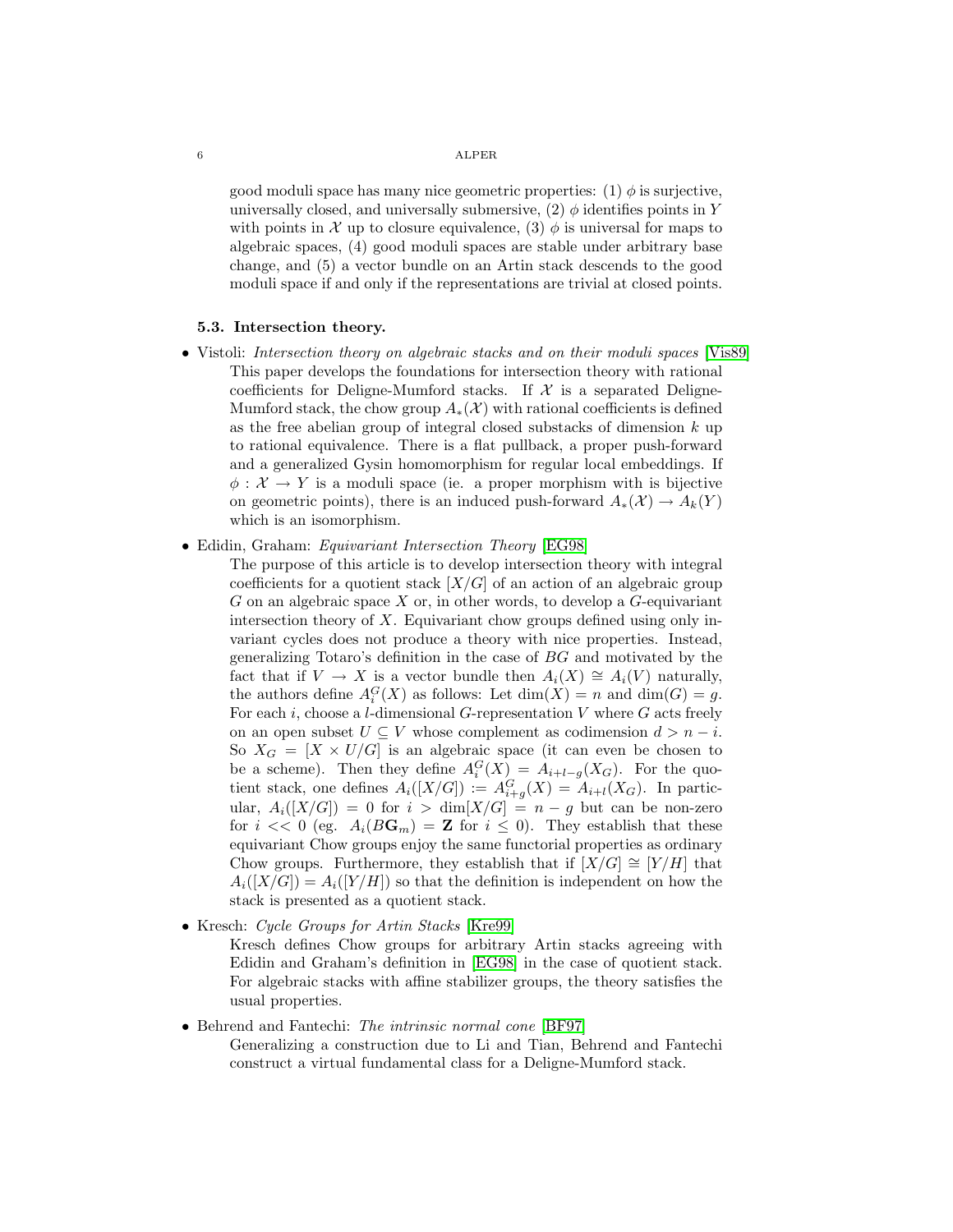good moduli space has many nice geometric properties:  $(1)$   $\phi$  is surjective, universally closed, and universally submersive, (2)  $\phi$  identifies points in Y with points in X up to closure equivalence, (3)  $\phi$  is universal for maps to algebraic spaces, (4) good moduli spaces are stable under arbitrary base change, and (5) a vector bundle on an Artin stack descends to the good moduli space if and only if the representations are trivial at closed points.

### 5.3. Intersection theory.

- Vistoli: Intersection theory on algebraic stacks and on their moduli spaces [\[Vis89\]](#page-15-0) This paper develops the foundations for intersection theory with rational coefficients for Deligne-Mumford stacks. If  $\mathcal X$  is a separated Deligne-Mumford stack, the chow group  $A_*(\mathcal{X})$  with rational coefficients is defined as the free abelian group of integral closed substacks of dimension  $k$  up to rational equivalence. There is a flat pullback, a proper push-forward and a generalized Gysin homomorphism for regular local embeddings. If  $\phi: \mathcal{X} \to Y$  is a moduli space (ie. a proper morphism with is bijective on geometric points), there is an induced push-forward  $A_*(\mathcal{X}) \to A_k(Y)$ which is an isomorphism.
- Edidin, Graham: *Equivariant Intersection Theory* [\[EG98\]](#page-14-10)
	- The purpose of this article is to develop intersection theory with integral coefficients for a quotient stack  $[X/G]$  of an action of an algebraic group  $G$  on an algebraic space  $X$  or, in other words, to develop a  $G$ -equivariant intersection theory of  $X$ . Equivariant chow groups defined using only invariant cycles does not produce a theory with nice properties. Instead, generalizing Totaro's definition in the case of BG and motivated by the fact that if  $V \to X$  is a vector bundle then  $A_i(X) \cong A_i(V)$  naturally, the authors define  $A_i^G(X)$  as follows: Let  $\dim(X) = n$  and  $\dim(G) = g$ . For each i, choose a l-dimensional G-representation V where  $G$  acts freely on an open subset  $U \subseteq V$  whose complement as codimension  $d > n - i$ . So  $X_G = [X \times U/G]$  is an algebraic space (it can even be chosen to be a scheme). Then they define  $A_i^G(X) = A_{i+l-g}(X_G)$ . For the quotient stack, one defines  $A_i([X/G]) := A_{i+g}^G(X) = A_{i+l}(X_G)$ . In particular,  $A_i([X/G]) = 0$  for  $i > \dim[X/G] = n - g$  but can be non-zero for  $i \ll 0$  (eg.  $A_i(B\mathbf{G}_m) = \mathbf{Z}$  for  $i \leq 0$ ). They establish that these equivariant Chow groups enjoy the same functorial properties as ordinary Chow groups. Furthermore, they establish that if  $[X/G] \cong [Y/H]$  that  $A_i([X/G]) = A_i([Y/H])$  so that the definition is independent on how the stack is presented as a quotient stack.
- Kresch: *Cycle Groups for Artin Stacks* [\[Kre99\]](#page-14-11)

Kresch defines Chow groups for arbitrary Artin stacks agreeing with Edidin and Graham's definition in [\[EG98\]](#page-14-10) in the case of quotient stack. For algebraic stacks with affine stabilizer groups, the theory satisfies the usual properties.

- Behrend and Fantechi: The intrinsic normal cone [\[BF97\]](#page-13-12)
	- Generalizing a construction due to Li and Tian, Behrend and Fantechi construct a virtual fundamental class for a Deligne-Mumford stack.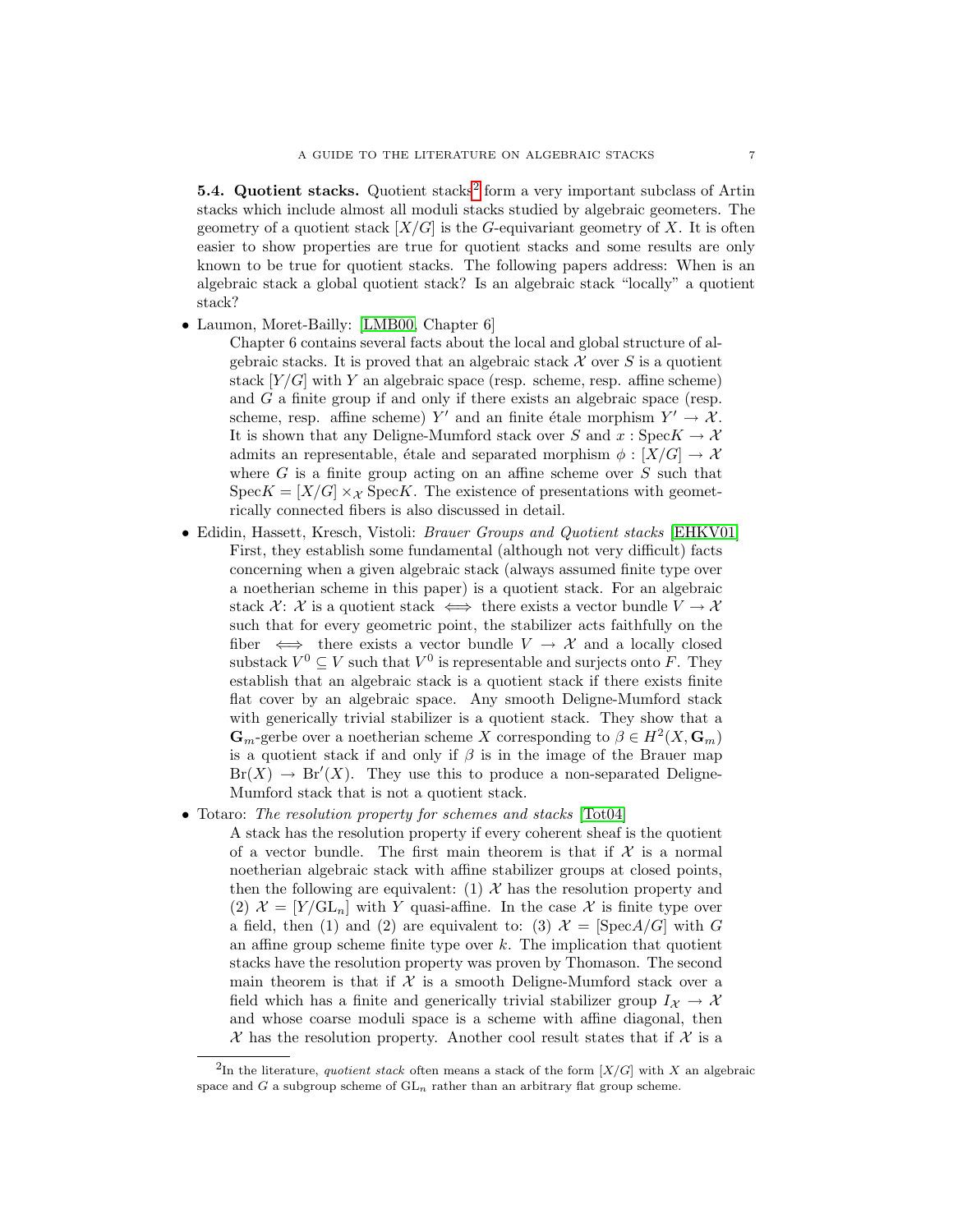**5.4. Quotient stacks.** Quotient stacks<sup>[2](#page-6-0)</sup> form a very important subclass of Artin stacks which include almost all moduli stacks studied by algebraic geometers. The geometry of a quotient stack  $[X/G]$  is the G-equivariant geometry of X. It is often easier to show properties are true for quotient stacks and some results are only known to be true for quotient stacks. The following papers address: When is an algebraic stack a global quotient stack? Is an algebraic stack "locally" a quotient stack?

• Laumon, Moret-Bailly: [\[LMB00,](#page-14-4) Chapter 6]

Chapter 6 contains several facts about the local and global structure of algebraic stacks. It is proved that an algebraic stack  $\mathcal X$  over  $S$  is a quotient stack  $[Y/G]$  with Y an algebraic space (resp. scheme, resp. affine scheme) and G a finite group if and only if there exists an algebraic space (resp. scheme, resp. affine scheme) Y' and an finite étale morphism  $Y' \to \mathcal{X}$ . It is shown that any Deligne-Mumford stack over S and  $x: \text{Spec } K \to \mathcal{X}$ admits an representable, étale and separated morphism  $\phi : [X/G] \to \mathcal{X}$ where  $G$  is a finite group acting on an affine scheme over  $S$  such that  $Spec K = [X/G] \times_{\mathcal{X}} Spec K$ . The existence of presentations with geometrically connected fibers is also discussed in detail.

- Edidin, Hassett, Kresch, Vistoli: Brauer Groups and Quotient stacks [\[EHKV01\]](#page-14-12) First, they establish some fundamental (although not very difficult) facts concerning when a given algebraic stack (always assumed finite type over a noetherian scheme in this paper) is a quotient stack. For an algebraic stack X: X is a quotient stack  $\iff$  there exists a vector bundle  $V \to \mathcal{X}$ such that for every geometric point, the stabilizer acts faithfully on the fiber  $\iff$  there exists a vector bundle  $V \to \mathcal{X}$  and a locally closed substack  $V^0 \subseteq V$  such that  $V^0$  is representable and surjects onto F. They establish that an algebraic stack is a quotient stack if there exists finite flat cover by an algebraic space. Any smooth Deligne-Mumford stack with generically trivial stabilizer is a quotient stack. They show that a  $\mathbf{G}_m$ -gerbe over a noetherian scheme X corresponding to  $\beta \in H^2(X, \mathbf{G}_m)$ is a quotient stack if and only if  $\beta$  is in the image of the Brauer map  $Br(X) \to Br'(X)$ . They use this to produce a non-separated Deligne-Mumford stack that is not a quotient stack.
- Totaro: The resolution property for schemes and stacks [\[Tot04\]](#page-15-12)

A stack has the resolution property if every coherent sheaf is the quotient of a vector bundle. The first main theorem is that if  $\mathcal X$  is a normal noetherian algebraic stack with affine stabilizer groups at closed points, then the following are equivalent: (1)  $\mathcal{X}$  has the resolution property and (2)  $\mathcal{X} = [Y/\mathrm{GL}_n]$  with Y quasi-affine. In the case X is finite type over a field, then (1) and (2) are equivalent to: (3)  $\mathcal{X} = [\text{Spec} A/G]$  with G an affine group scheme finite type over  $k$ . The implication that quotient stacks have the resolution property was proven by Thomason. The second main theorem is that if  $X$  is a smooth Deligne-Mumford stack over a field which has a finite and generically trivial stabilizer group  $I_{\mathcal{X}} \to \mathcal{X}$ and whose coarse moduli space is a scheme with affine diagonal, then  $\mathcal X$  has the resolution property. Another cool result states that if  $\mathcal X$  is a

<span id="page-6-0"></span><sup>&</sup>lt;sup>2</sup>In the literature, quotient stack often means a stack of the form  $[X/G]$  with X an algebraic space and  $G$  a subgroup scheme of  $GL_n$  rather than an arbitrary flat group scheme.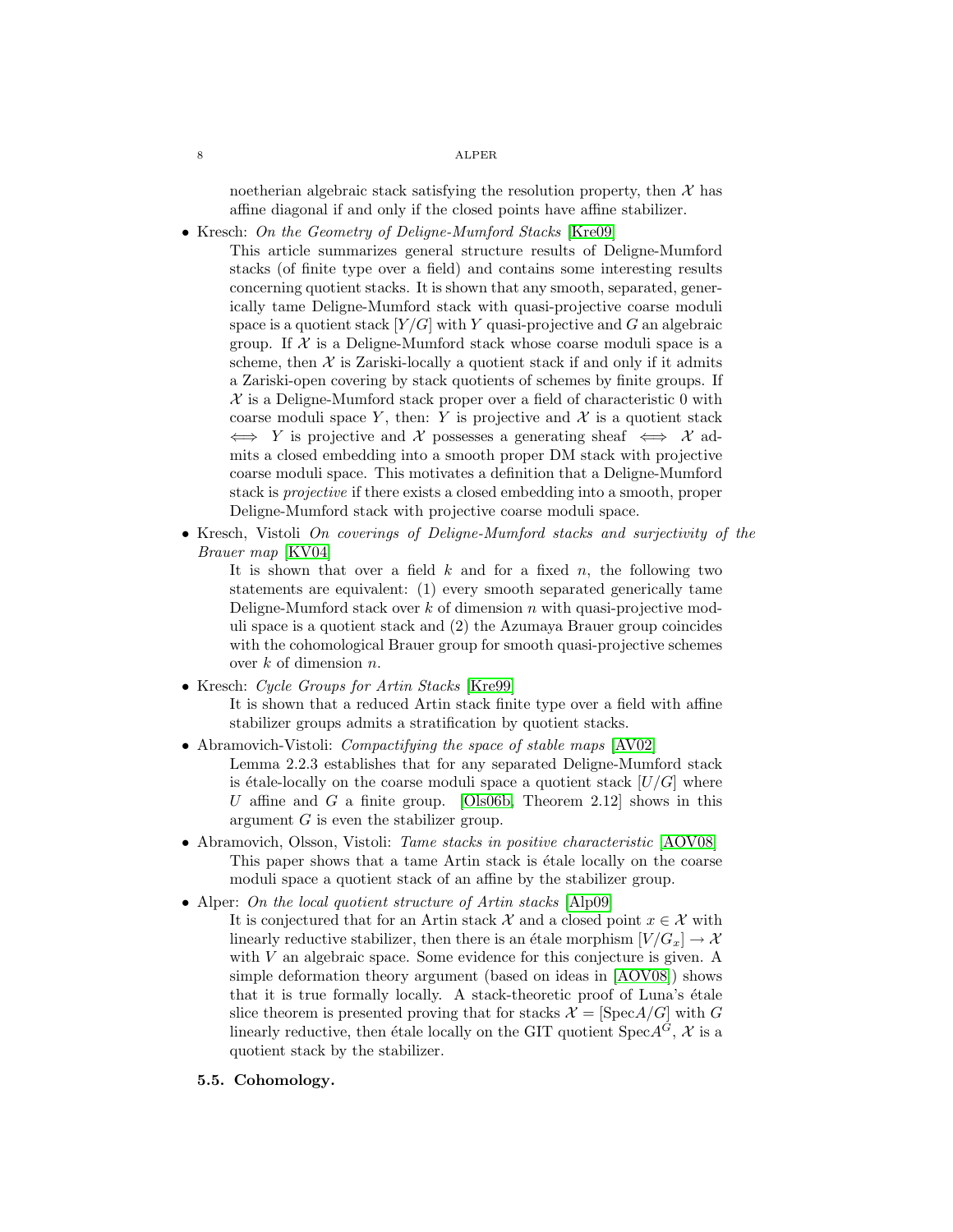noetherian algebraic stack satisfying the resolution property, then  $\mathcal X$  has affine diagonal if and only if the closed points have affine stabilizer.

• Kresch: On the Geometry of Deligne-Mumford Stacks [\[Kre09\]](#page-14-13)

This article summarizes general structure results of Deligne-Mumford stacks (of finite type over a field) and contains some interesting results concerning quotient stacks. It is shown that any smooth, separated, generically tame Deligne-Mumford stack with quasi-projective coarse moduli space is a quotient stack  $[Y/G]$  with Y quasi-projective and G an algebraic group. If  $\mathcal X$  is a Deligne-Mumford stack whose coarse moduli space is a scheme, then  $X$  is Zariski-locally a quotient stack if and only if it admits a Zariski-open covering by stack quotients of schemes by finite groups. If  $X$  is a Deligne-Mumford stack proper over a field of characteristic 0 with coarse moduli space Y, then: Y is projective and  $\mathcal X$  is a quotient stack  $\iff Y$  is projective and X possesses a generating sheaf  $\iff X$  admits a closed embedding into a smooth proper DM stack with projective coarse moduli space. This motivates a definition that a Deligne-Mumford stack is projective if there exists a closed embedding into a smooth, proper Deligne-Mumford stack with projective coarse moduli space.

• Kresch, Vistoli On coverings of Deligne-Mumford stacks and surjectivity of the Brauer map [\[KV04\]](#page-14-14)

It is shown that over a field  $k$  and for a fixed  $n$ , the following two statements are equivalent: (1) every smooth separated generically tame Deligne-Mumford stack over  $k$  of dimension  $n$  with quasi-projective moduli space is a quotient stack and (2) the Azumaya Brauer group coincides with the cohomological Brauer group for smooth quasi-projective schemes over  $k$  of dimension  $n$ .

• Kresch: Cycle Groups for Artin Stacks [\[Kre99\]](#page-14-11)

It is shown that a reduced Artin stack finite type over a field with affine stabilizer groups admits a stratification by quotient stacks.

- Abramovich-Vistoli: *Compactifying the space of stable maps* [\[AV02\]](#page-13-13) Lemma 2.2.3 establishes that for any separated Deligne-Mumford stack is étale-locally on the coarse moduli space a quotient stack  $[U/G]$  where U affine and G a finite group. [\[Ols06b,](#page-15-13) Theorem 2.12] shows in this argument G is even the stabilizer group.
- Abramovich, Olsson, Vistoli: *Tame stacks in positive characteristic* [\[AOV08\]](#page-13-10) This paper shows that a tame Artin stack is  $\acute{e}$ tale locally on the coarse moduli space a quotient stack of an affine by the stabilizer group.

• Alper: On the local quotient structure of Artin stacks [\[Alp09\]](#page-13-14)

- It is conjectured that for an Artin stack X and a closed point  $x \in \mathcal{X}$  with linearly reductive stabilizer, then there is an étale morphism  $[V / G_x] \rightarrow \mathcal{X}$ with V an algebraic space. Some evidence for this conjecture is given. A simple deformation theory argument (based on ideas in [\[AOV08\]](#page-13-10)) shows that it is true formally locally. A stack-theoretic proof of Luna's étale slice theorem is presented proving that for stacks  $\mathcal{X} = [\text{Spec} A/G]$  with G linearly reductive, then étale locally on the GIT quotient  $Spec A^G$ , X is a quotient stack by the stabilizer.
- 5.5. Cohomology.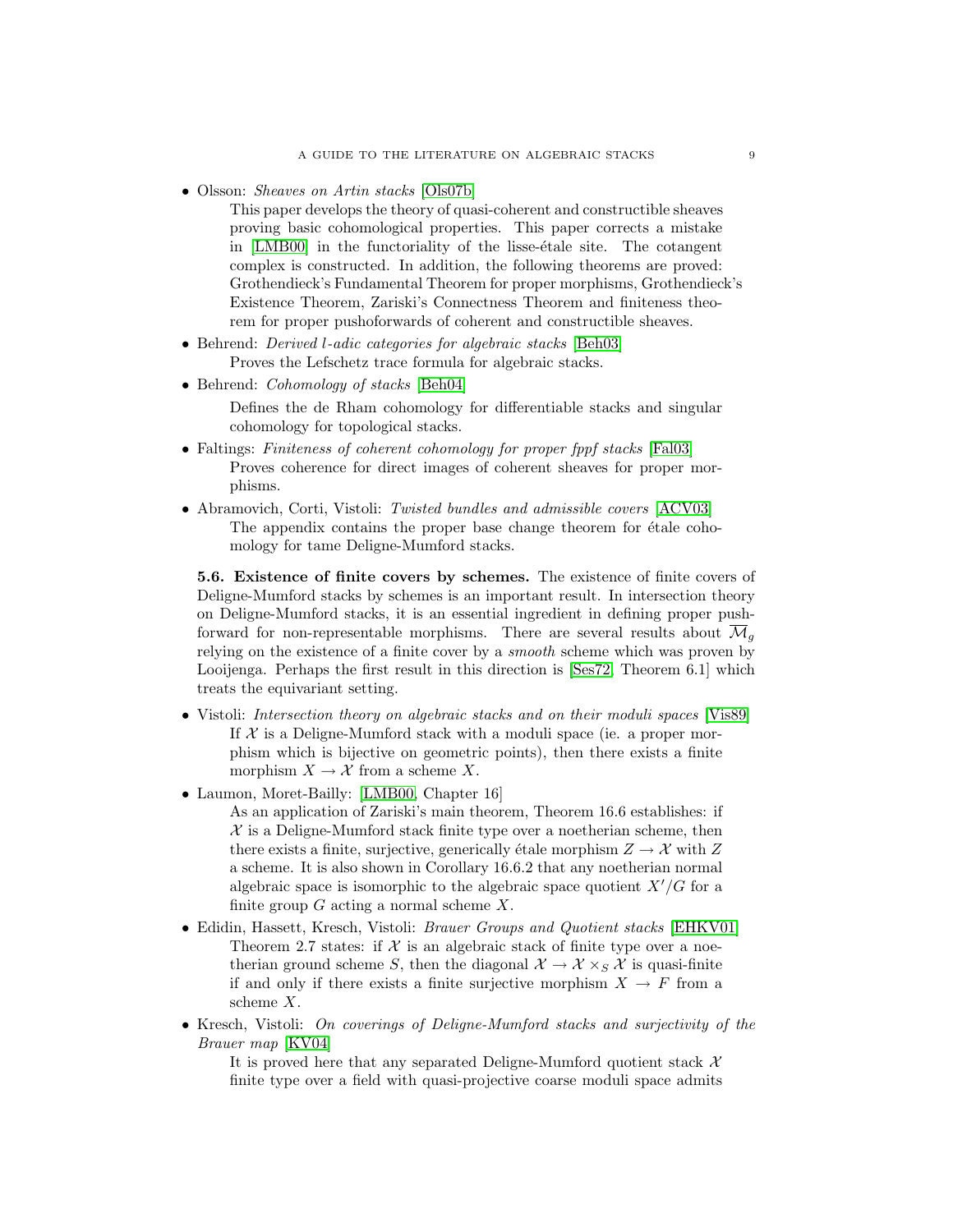• Olsson: *Sheaves on Artin stacks* [\[Ols07b\]](#page-15-4)

This paper develops the theory of quasi-coherent and constructible sheaves proving basic cohomological properties. This paper corrects a mistake in [\[LMB00\]](#page-14-4) in the functoriality of the lisse-étale site. The cotangent complex is constructed. In addition, the following theorems are proved: Grothendieck's Fundamental Theorem for proper morphisms, Grothendieck's Existence Theorem, Zariski's Connectness Theorem and finiteness theorem for proper pushoforwards of coherent and constructible sheaves.

- Behrend: *Derived l-adic categories for algebraic stacks* [\[Beh03\]](#page-13-15) Proves the Lefschetz trace formula for algebraic stacks.
- Behrend: *Cohomology of stacks* [\[Beh04\]](#page-13-16)

Defines the de Rham cohomology for differentiable stacks and singular cohomology for topological stacks.

- Faltings: Finiteness of coherent cohomology for proper fppf stacks [\[Fal03\]](#page-14-15) Proves coherence for direct images of coherent sheaves for proper morphisms.
- Abramovich, Corti, Vistoli: Twisted bundles and admissible covers [\[ACV03\]](#page-13-17) The appendix contains the proper base change theorem for  $\acute{e}t$  cohomology for tame Deligne-Mumford stacks.

5.6. Existence of finite covers by schemes. The existence of finite covers of Deligne-Mumford stacks by schemes is an important result. In intersection theory on Deligne-Mumford stacks, it is an essential ingredient in defining proper pushforward for non-representable morphisms. There are several results about  $\overline{\mathcal{M}}_g$ relying on the existence of a finite cover by a smooth scheme which was proven by Looijenga. Perhaps the first result in this direction is [\[Ses72,](#page-15-14) Theorem 6.1] which treats the equivariant setting.

- Vistoli: Intersection theory on algebraic stacks and on their moduli spaces [\[Vis89\]](#page-15-0) If  $X$  is a Deligne-Mumford stack with a moduli space (ie. a proper morphism which is bijective on geometric points), then there exists a finite morphism  $X \to \mathcal{X}$  from a scheme X.
- Laumon, Moret-Bailly: [\[LMB00,](#page-14-4) Chapter 16]

As an application of Zariski's main theorem, Theorem 16.6 establishes: if  $X$  is a Deligne-Mumford stack finite type over a noetherian scheme, then there exists a finite, surjective, generically étale morphism  $Z \to \mathcal{X}$  with Z a scheme. It is also shown in Corollary 16.6.2 that any noetherian normal algebraic space is isomorphic to the algebraic space quotient  $X'/G$  for a finite group  $G$  acting a normal scheme  $X$ .

- Edidin, Hassett, Kresch, Vistoli: *Brauer Groups and Quotient stacks* [\[EHKV01\]](#page-14-12) Theorem 2.7 states: if  $X$  is an algebraic stack of finite type over a noetherian ground scheme S, then the diagonal  $\mathcal{X} \to \mathcal{X} \times_S \mathcal{X}$  is quasi-finite if and only if there exists a finite surjective morphism  $X \to F$  from a scheme X.
- Kresch, Vistoli: On coverings of Deligne-Mumford stacks and surjectivity of the Brauer map [\[KV04\]](#page-14-14)

It is proved here that any separated Deligne-Mumford quotient stack  $\mathcal{X}$ finite type over a field with quasi-projective coarse moduli space admits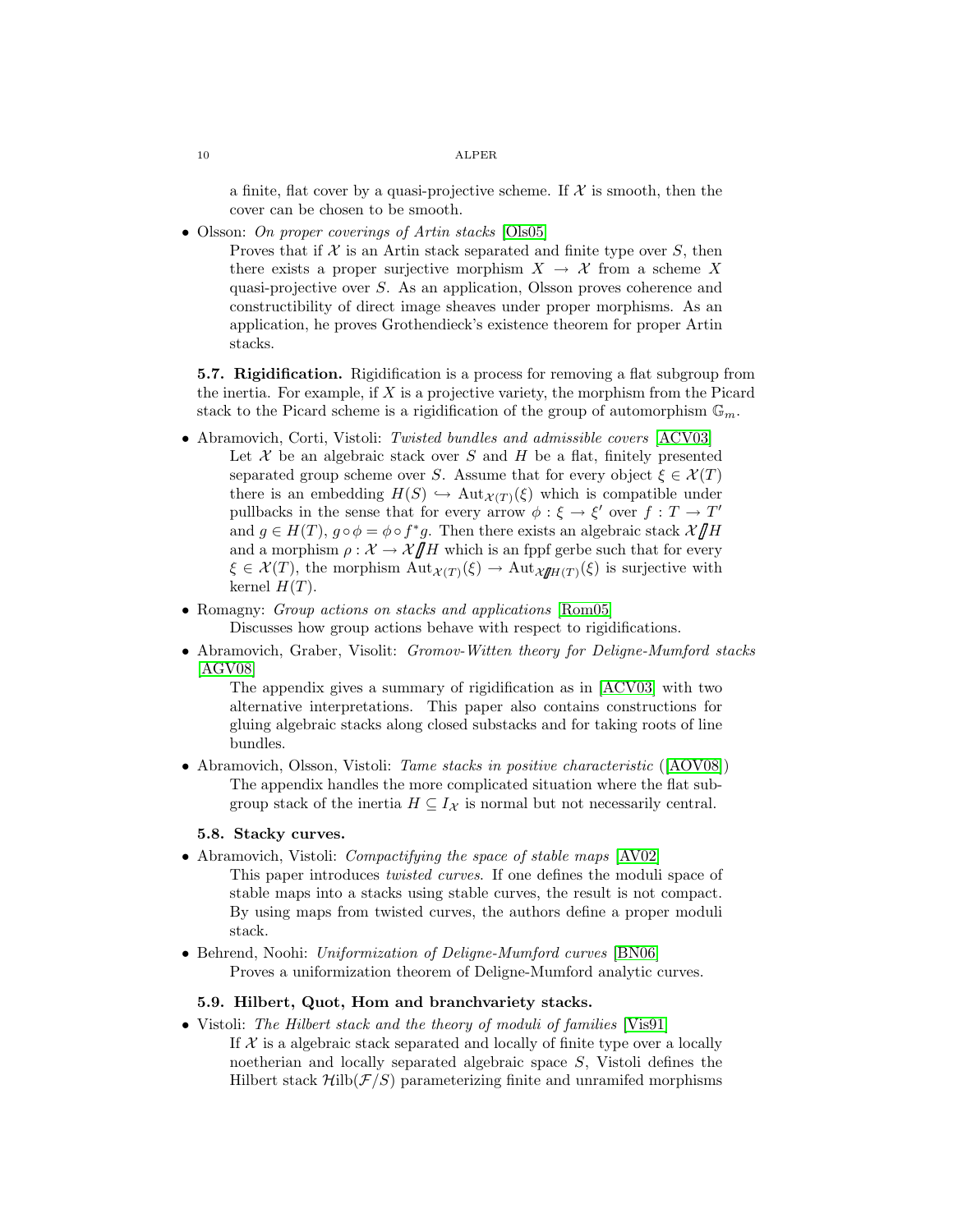a finite, flat cover by a quasi-projective scheme. If  $\mathcal X$  is smooth, then the cover can be chosen to be smooth.

• Olsson: On proper coverings of Artin stacks [\[Ols05\]](#page-15-15)

Proves that if  $X$  is an Artin stack separated and finite type over  $S$ , then there exists a proper surjective morphism  $X \to \mathcal{X}$  from a scheme X quasi-projective over S. As an application, Olsson proves coherence and constructibility of direct image sheaves under proper morphisms. As an application, he proves Grothendieck's existence theorem for proper Artin stacks.

5.7. Rigidification. Rigidification is a process for removing a flat subgroup from the inertia. For example, if  $X$  is a projective variety, the morphism from the Picard stack to the Picard scheme is a rigidification of the group of automorphism  $\mathbb{G}_m$ .

- Abramovich, Corti, Vistoli: Twisted bundles and admissible covers [\[ACV03\]](#page-13-17) Let  $X$  be an algebraic stack over  $S$  and  $H$  be a flat, finitely presented separated group scheme over S. Assume that for every object  $\xi \in \mathcal{X}(T)$ there is an embedding  $H(S) \hookrightarrow \text{Aut}_{\mathcal{X}(T)}(\xi)$  which is compatible under pullbacks in the sense that for every arrow  $\phi : \xi \to \xi'$  over  $f : T \to T'$ and  $g \in H(T)$ ,  $g \circ \phi = \phi \circ f^*g$ . Then there exists an algebraic stack  $\mathcal{X}/\!\!/H$ <br>and a morphism  $g: \mathcal{Y} \to \mathcal{Y}/\!\!/H$  which is an finit sorbe such that for every and a morphism  $\rho : \mathcal{X} \to \mathcal{X}/\!\!/H$  which is an fppf gerbe such that for every  $\xi \in \mathcal{X}(T)$ , the morphism  $\text{Aut}_{\mathcal{X}(T)}(\xi) \to \text{Aut}_{\mathcal{X}/\mathcal{H}(T)}(\xi)$  is surjective with kernel  $H(T)$ .
- Romagny: *Group actions on stacks and applications* [\[Rom05\]](#page-15-16) Discusses how group actions behave with respect to rigidifications.
- Abramovich, Graber, Visolit: Gromov-Witten theory for Deligne-Mumford stacks [\[AGV08\]](#page-13-18)

The appendix gives a summary of rigidification as in [\[ACV03\]](#page-13-17) with two alternative interpretations. This paper also contains constructions for gluing algebraic stacks along closed substacks and for taking roots of line bundles.

• Abramovich, Olsson, Vistoli: *Tame stacks in positive characteristic* ([\[AOV08\]](#page-13-10)) The appendix handles the more complicated situation where the flat subgroup stack of the inertia  $H \subseteq I_{\mathcal{X}}$  is normal but not necessarily central.

## 5.8. Stacky curves.

- Abramovich, Vistoli: *Compactifying the space of stable maps* [\[AV02\]](#page-13-13) This paper introduces twisted curves. If one defines the moduli space of stable maps into a stacks using stable curves, the result is not compact. By using maps from twisted curves, the authors define a proper moduli stack.
- Behrend, Noohi: Uniformization of Deligne-Mumford curves [\[BN06\]](#page-13-19) Proves a uniformization theorem of Deligne-Mumford analytic curves.

### 5.9. Hilbert, Quot, Hom and branchvariety stacks.

• Vistoli: The Hilbert stack and the theory of moduli of families [\[Vis91\]](#page-15-17) If  $X$  is a algebraic stack separated and locally of finite type over a locally noetherian and locally separated algebraic space S, Vistoli defines the Hilbert stack  $\mathcal{H}_{\text{ilb}}(\mathcal{F}/S)$  parameterizing finite and unramifed morphisms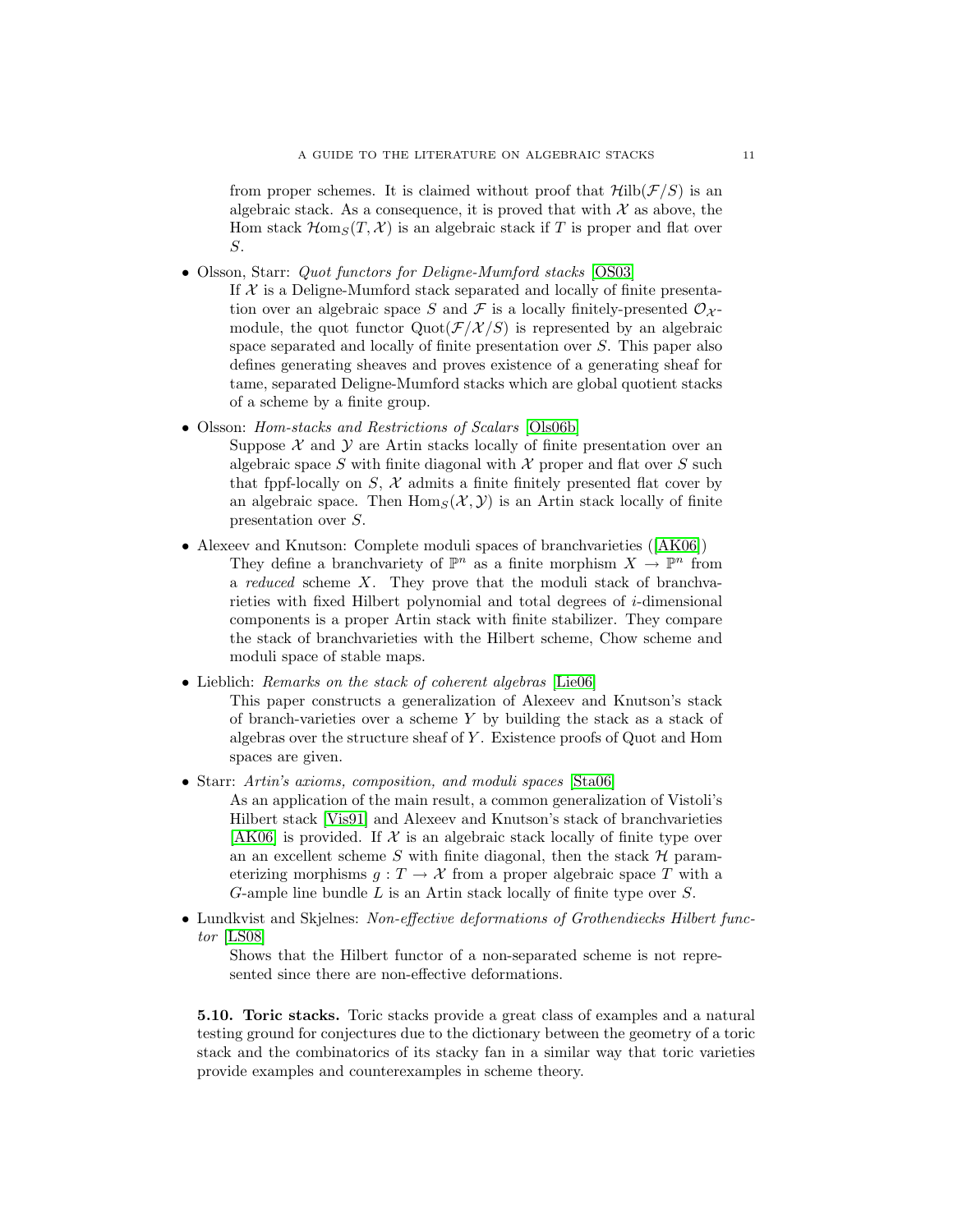from proper schemes. It is claimed without proof that  $\mathcal{H}ilb(\mathcal{F}/S)$  is an algebraic stack. As a consequence, it is proved that with  $\mathcal X$  as above, the Hom stack  $\mathcal{H}$ om<sub>S</sub>(T, X) is an algebraic stack if T is proper and flat over S.

- Olsson, Starr: *Quot functors for Deligne-Mumford stacks* [\[OS03\]](#page-15-18)
	- If  $X$  is a Deligne-Mumford stack separated and locally of finite presentation over an algebraic space S and F is a locally finitely-presented  $\mathcal{O}_{\mathcal{X}}$ module, the quot functor  $Quot(\mathcal{F}/\mathcal{X}/S)$  is represented by an algebraic space separated and locally of finite presentation over S. This paper also defines generating sheaves and proves existence of a generating sheaf for tame, separated Deligne-Mumford stacks which are global quotient stacks of a scheme by a finite group.
- Olsson: Hom-stacks and Restrictions of Scalars [\[Ols06b\]](#page-15-13)
	- Suppose  $X$  and  $Y$  are Artin stacks locally of finite presentation over an algebraic space S with finite diagonal with  $\mathcal X$  proper and flat over S such that fppf-locally on  $S, \mathcal{X}$  admits a finite finitely presented flat cover by an algebraic space. Then  $\text{Hom}_S(\mathcal{X}, \mathcal{Y})$  is an Artin stack locally of finite presentation over S.
- Alexeev and Knutson: Complete moduli spaces of branchvarieties ([\[AK06\]](#page-13-20)) They define a branchvariety of  $\mathbb{P}^n$  as a finite morphism  $X \to \mathbb{P}^n$  from a reduced scheme X. They prove that the moduli stack of branchvarieties with fixed Hilbert polynomial and total degrees of i-dimensional components is a proper Artin stack with finite stabilizer. They compare the stack of branchvarieties with the Hilbert scheme, Chow scheme and moduli space of stable maps.
- Lieblich: Remarks on the stack of coherent algebras [\[Lie06\]](#page-14-16)
	- This paper constructs a generalization of Alexeev and Knutson's stack of branch-varieties over a scheme  $Y$  by building the stack as a stack of algebras over the structure sheaf of  $Y$ . Existence proofs of Quot and Hom spaces are given.
- Starr: Artin's axioms, composition, and moduli spaces [\[Sta06\]](#page-15-9) As an application of the main result, a common generalization of Vistoli's Hilbert stack [\[Vis91\]](#page-15-17) and Alexeev and Knutson's stack of branchvarieties [\[AK06\]](#page-13-20) is provided. If  $\mathcal X$  is an algebraic stack locally of finite type over an an excellent scheme  $S$  with finite diagonal, then the stack  $H$  parameterizing morphisms  $q: T \to \mathcal{X}$  from a proper algebraic space T with a G-ample line bundle L is an Artin stack locally of finite type over S.
- Lundkvist and Skjelnes: Non-effective deformations of Grothendiecks Hilbert functor [\[LS08\]](#page-14-17)

Shows that the Hilbert functor of a non-separated scheme is not represented since there are non-effective deformations.

5.10. Toric stacks. Toric stacks provide a great class of examples and a natural testing ground for conjectures due to the dictionary between the geometry of a toric stack and the combinatorics of its stacky fan in a similar way that toric varieties provide examples and counterexamples in scheme theory.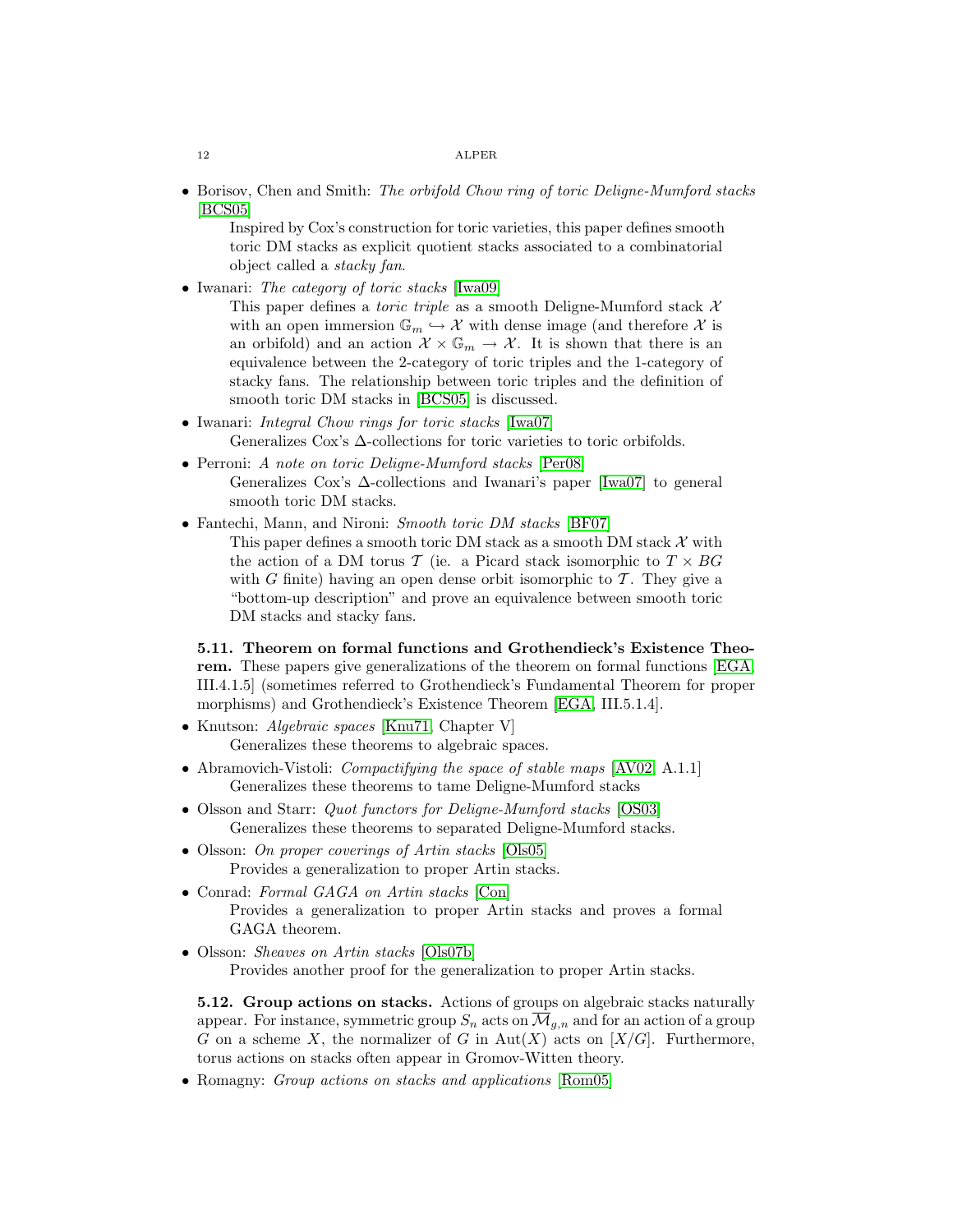• Borisov, Chen and Smith: The orbifold Chow ring of toric Deligne-Mumford stacks [\[BCS05\]](#page-13-21)

Inspired by Cox's construction for toric varieties, this paper defines smooth toric DM stacks as explicit quotient stacks associated to a combinatorial object called a stacky fan.

• Iwanari: The category of toric stacks [\[Iwa09\]](#page-14-18)

This paper defines a *toric triple* as a smooth Deligne-Mumford stack  $\mathcal{X}$ with an open immersion  $\mathbb{G}_m \hookrightarrow \mathcal{X}$  with dense image (and therefore  $\mathcal{X}$  is an orbifold) and an action  $\mathcal{X} \times \mathbb{G}_m \to \mathcal{X}$ . It is shown that there is an equivalence between the 2-category of toric triples and the 1-category of stacky fans. The relationship between toric triples and the definition of smooth toric DM stacks in [\[BCS05\]](#page-13-21) is discussed.

- Iwanari: *Integral Chow rings for toric stacks* [\[Iwa07\]](#page-14-19) Generalizes Cox's Δ-collections for toric varieties to toric orbifolds.
- Perroni: A note on toric Deligne-Mumford stacks [\[Per08\]](#page-15-19) Generalizes Cox's ∆-collections and Iwanari's paper [\[Iwa07\]](#page-14-19) to general smooth toric DM stacks.
- Fantechi, Mann, and Nironi: Smooth toric DM stacks [\[BF07\]](#page-13-22) This paper defines a smooth toric DM stack as a smooth DM stack  $\mathcal X$  with the action of a DM torus T (ie. a Picard stack isomorphic to  $T \times BG$ with G finite) having an open dense orbit isomorphic to  $\mathcal T$ . They give a "bottom-up description" and prove an equivalence between smooth toric DM stacks and stacky fans.

5.11. Theorem on formal functions and Grothendieck's Existence Theorem. These papers give generalizations of the theorem on formal functions [\[EGA,](#page-14-20) III.4.1.5] (sometimes referred to Grothendieck's Fundamental Theorem for proper morphisms) and Grothendieck's Existence Theorem [\[EGA,](#page-14-20) III.5.1.4].

- Knutson: *Algebraic spaces* [\[Knu71,](#page-14-5) Chapter V] Generalizes these theorems to algebraic spaces.
- Abramovich-Vistoli: *Compactifying the space of stable maps* [\[AV02,](#page-13-13) A.1.1] Generalizes these theorems to tame Deligne-Mumford stacks
- Olsson and Starr: *Quot functors for Deligne-Mumford stacks* [\[OS03\]](#page-15-18) Generalizes these theorems to separated Deligne-Mumford stacks.
- Olsson: On proper coverings of Artin stacks [\[Ols05\]](#page-15-15) Provides a generalization to proper Artin stacks.
- Conrad: Formal GAGA on Artin stacks [\[Con\]](#page-14-21) Provides a generalization to proper Artin stacks and proves a formal GAGA theorem.
- Olsson: *Sheaves on Artin stacks* [\[Ols07b\]](#page-15-4) Provides another proof for the generalization to proper Artin stacks.

5.12. Group actions on stacks. Actions of groups on algebraic stacks naturally appear. For instance, symmetric group  $S_n$  acts on  $\overline{\mathcal{M}}_{g,n}$  and for an action of a group G on a scheme X, the normalizer of G in  $Aut(X)$  acts on  $[X/G]$ . Furthermore, torus actions on stacks often appear in Gromov-Witten theory.

• Romagny: *Group actions on stacks and applications* [\[Rom05\]](#page-15-16)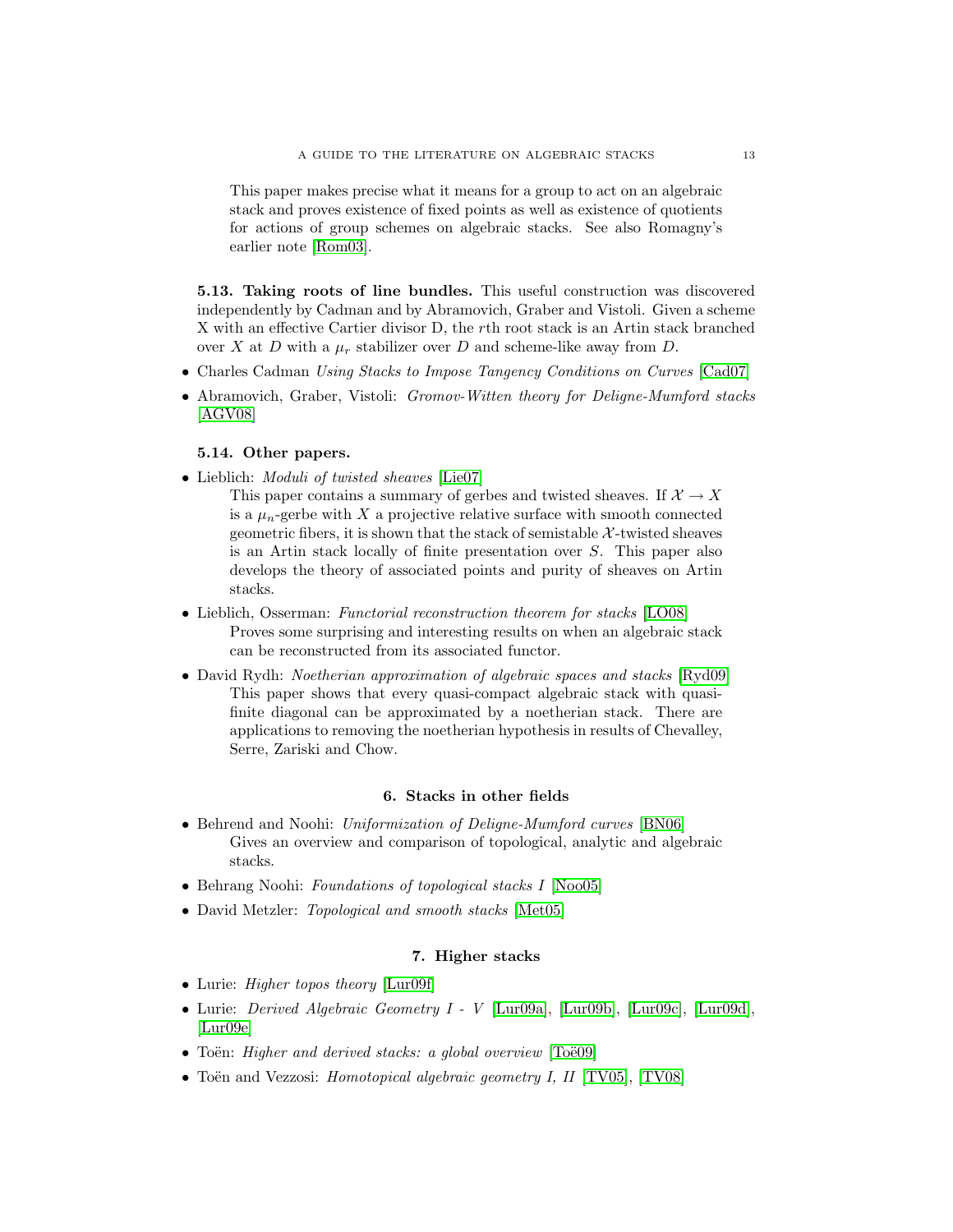This paper makes precise what it means for a group to act on an algebraic stack and proves existence of fixed points as well as existence of quotients for actions of group schemes on algebraic stacks. See also Romagny's earlier note [\[Rom03\]](#page-15-20).

5.13. Taking roots of line bundles. This useful construction was discovered independently by Cadman and by Abramovich, Graber and Vistoli. Given a scheme X with an effective Cartier divisor D, the rth root stack is an Artin stack branched over X at D with a  $\mu_r$  stabilizer over D and scheme-like away from D.

- Charles Cadman Using Stacks to Impose Tangency Conditions on Curves [\[Cad07\]](#page-13-23)
- Abramovich, Graber, Vistoli: Gromov-Witten theory for Deligne-Mumford stacks [\[AGV08\]](#page-13-18)

# 5.14. Other papers.

- Lieblich: *Moduli of twisted sheaves* [\[Lie07\]](#page-14-22)
	- This paper contains a summary of gerbes and twisted sheaves. If  $\mathcal{X} \to X$ is a  $\mu_n$ -gerbe with X a projective relative surface with smooth connected geometric fibers, it is shown that the stack of semistable  $\mathcal{X}$ -twisted sheaves is an Artin stack locally of finite presentation over S. This paper also develops the theory of associated points and purity of sheaves on Artin stacks.
- Lieblich, Osserman: Functorial reconstruction theorem for stacks [\[LO08\]](#page-14-23) Proves some surprising and interesting results on when an algebraic stack can be reconstructed from its associated functor.
- David Rydh: *Noetherian approximation of algebraic spaces and stacks* [\[Ryd09\]](#page-15-21) This paper shows that every quasi-compact algebraic stack with quasifinite diagonal can be approximated by a noetherian stack. There are applications to removing the noetherian hypothesis in results of Chevalley, Serre, Zariski and Chow.

## 6. Stacks in other fields

- Behrend and Noohi: Uniformization of Deligne-Mumford curves [\[BN06\]](#page-13-19) Gives an overview and comparison of topological, analytic and algebraic stacks.
- Behrang Noohi: Foundations of topological stacks I [\[Noo05\]](#page-15-22)
- David Metzler: *Topological and smooth stacks* [\[Met05\]](#page-15-23)

# 7. Higher stacks

- Lurie: *Higher topos theory* [\[Lur09f\]](#page-15-24)
- Lurie: Derived Algebraic Geometry I V [\[Lur09a\]](#page-14-24), [\[Lur09b\]](#page-14-25), [\[Lur09c\]](#page-14-26), [\[Lur09d\]](#page-14-27), [\[Lur09e\]](#page-14-28)
- Toën: Higher and derived stacks: a global overview  $[To\ddot{e}09]$
- Toën and Vezzosi: *Homotopical algebraic geometry I, II* [\[TV05\]](#page-15-26), [\[TV08\]](#page-15-27)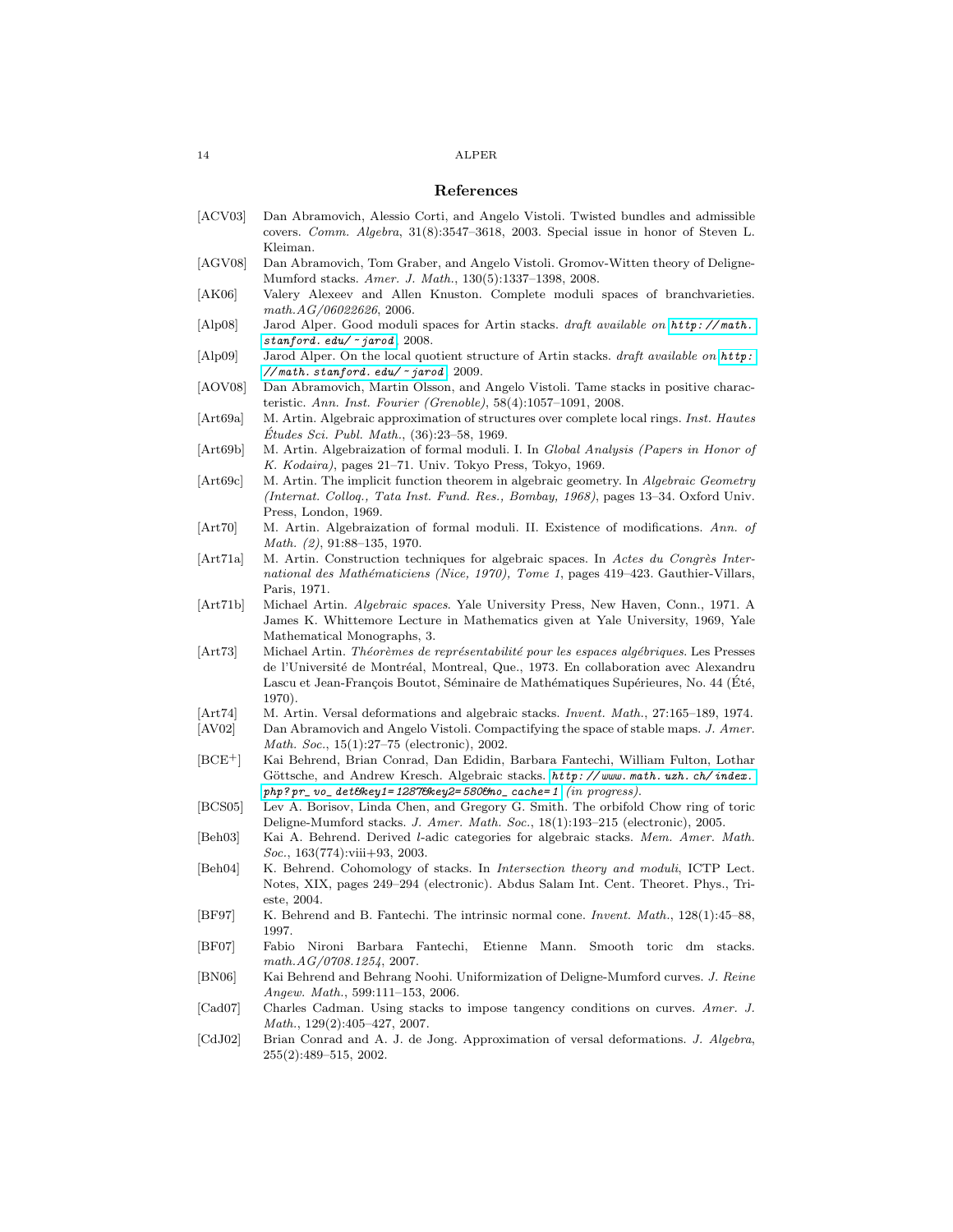#### References

- <span id="page-13-17"></span>[ACV03] Dan Abramovich, Alessio Corti, and Angelo Vistoli. Twisted bundles and admissible covers. Comm. Algebra, 31(8):3547–3618, 2003. Special issue in honor of Steven L. Kleiman.
- <span id="page-13-18"></span>[AGV08] Dan Abramovich, Tom Graber, and Angelo Vistoli. Gromov-Witten theory of Deligne-Mumford stacks. Amer. J. Math., 130(5):1337–1398, 2008.
- <span id="page-13-20"></span>[AK06] Valery Alexeev and Allen Knuston. Complete moduli spaces of branchvarieties. math.AG/06022626, 2006.
- <span id="page-13-11"></span>[Alp08] Jarod Alper. Good moduli spaces for Artin stacks. draft available on  $http://math.h$ . [stanford. edu/](http://math.stanford.edu/~jarod)  $~$  jarod, 2008.
- <span id="page-13-14"></span>[Alp09] Jarod Alper. On the local quotient structure of Artin stacks. draft available on [http:](http://math.stanford.edu/~jarod)  $\frac{1}{\sqrt{2}}$  math. stanford. edu $\frac{1}{\sqrt{2}}$  jarod, 2009.

<span id="page-13-10"></span>[AOV08] Dan Abramovich, Martin Olsson, and Angelo Vistoli. Tame stacks in positive characteristic. Ann. Inst. Fourier (Grenoble), 58(4):1057–1091, 2008.

- <span id="page-13-2"></span>[Art69a] M. Artin. Algebraic approximation of structures over complete local rings. Inst. Hautes  $Études Sci. Publ. Math., (36):23–58, 1969.$
- <span id="page-13-3"></span>[Art69b] M. Artin. Algebraization of formal moduli. I. In Global Analysis (Papers in Honor of K. Kodaira), pages 21–71. Univ. Tokyo Press, Tokyo, 1969.
- <span id="page-13-4"></span>[Art69c] M. Artin. The implicit function theorem in algebraic geometry. In Algebraic Geometry (Internat. Colloq., Tata Inst. Fund. Res., Bombay, 1968), pages 13–34. Oxford Univ. Press, London, 1969.
- <span id="page-13-5"></span>[Art70] M. Artin. Algebraization of formal moduli. II. Existence of modifications. Ann. of Math. (2), 91:88–135, 1970.
- <span id="page-13-6"></span>[Art71a] M. Artin. Construction techniques for algebraic spaces. In Actes du Congrès International des Mathématiciens (Nice, 1970), Tome 1, pages 419-423. Gauthier-Villars, Paris, 1971.
- <span id="page-13-7"></span>[Art71b] Michael Artin. Algebraic spaces. Yale University Press, New Haven, Conn., 1971. A James K. Whittemore Lecture in Mathematics given at Yale University, 1969, Yale Mathematical Monographs, 3.
- <span id="page-13-8"></span>[Art73] Michael Artin. Théorèmes de représentabilité pour les espaces algébriques. Les Presses de l'Université de Montréal, Montreal, Que., 1973. En collaboration avec Alexandru Lascu et Jean-François Boutot, Séminaire de Mathématiques Supérieures, No. 44 (Été, 1970).
- <span id="page-13-0"></span>[Art74] M. Artin. Versal deformations and algebraic stacks. *Invent. Math.*, 27:165–189, 1974.
- <span id="page-13-13"></span>[AV02] Dan Abramovich and Angelo Vistoli. Compactifying the space of stable maps. J. Amer. Math. Soc., 15(1):27–75 (electronic), 2002.
- <span id="page-13-1"></span>[BCE+] Kai Behrend, Brian Conrad, Dan Edidin, Barbara Fantechi, William Fulton, Lothar Göttsche, and Andrew Kresch. Algebraic stacks. http://www.math.uzh.ch/index.  $php$ ? $pr_$  vo\_det&key1=1287&key2=580&no\_cache=1  $(in$   $progress).$
- <span id="page-13-21"></span>[BCS05] Lev A. Borisov, Linda Chen, and Gregory G. Smith. The orbifold Chow ring of toric Deligne-Mumford stacks. J. Amer. Math. Soc., 18(1):193–215 (electronic), 2005.
- <span id="page-13-15"></span>[Beh03] Kai A. Behrend. Derived l-adic categories for algebraic stacks. Mem. Amer. Math. Soc., 163(774):viii+93, 2003.
- <span id="page-13-16"></span>[Beh04] K. Behrend. Cohomology of stacks. In *Intersection theory and moduli*, ICTP Lect. Notes, XIX, pages 249–294 (electronic). Abdus Salam Int. Cent. Theoret. Phys., Trieste, 2004.
- <span id="page-13-12"></span>[BF97] K. Behrend and B. Fantechi. The intrinsic normal cone. Invent. Math., 128(1):45–88, 1997.
- <span id="page-13-22"></span>[BF07] Fabio Nironi Barbara Fantechi, Etienne Mann. Smooth toric dm stacks. math.AG/0708.1254, 2007.
- <span id="page-13-19"></span>[BN06] Kai Behrend and Behrang Noohi. Uniformization of Deligne-Mumford curves. J. Reine Angew. Math., 599:111–153, 2006.
- <span id="page-13-23"></span>[Cad07] Charles Cadman. Using stacks to impose tangency conditions on curves. Amer. J. Math., 129(2):405–427, 2007.
- <span id="page-13-9"></span>[CdJ02] Brian Conrad and A. J. de Jong. Approximation of versal deformations. J. Algebra, 255(2):489–515, 2002.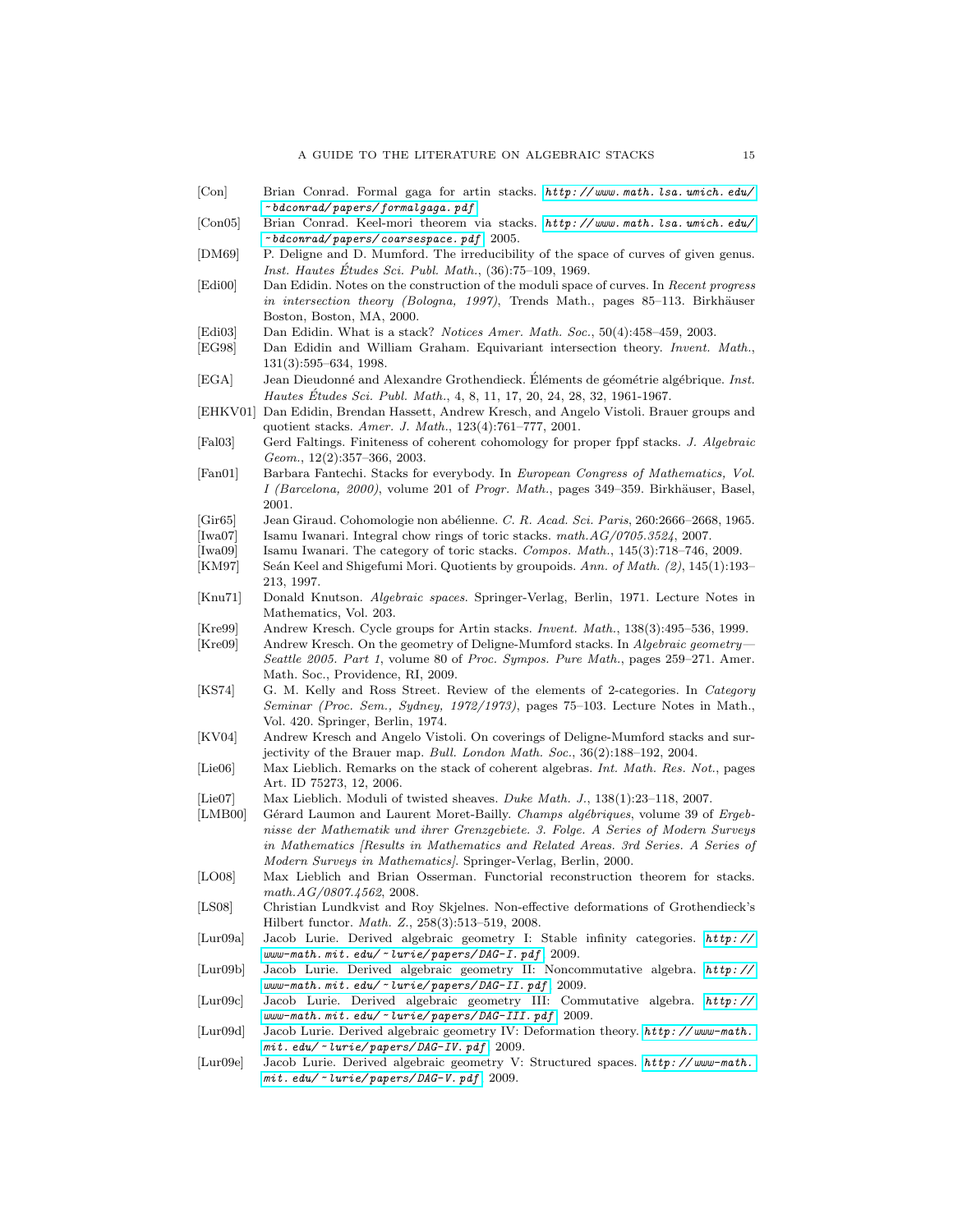- <span id="page-14-21"></span>[Con] Brian Conrad. Formal gaga for artin stacks. [http: // www. math. lsa. umich. edu/](http://www.math.lsa.umich.edu/~bdconrad/papers/formalgaga.pdf) ~ [bdconrad/ papers/ formalgaga. pdf](http://www.math.lsa.umich.edu/~bdconrad/papers/formalgaga.pdf) .
- <span id="page-14-9"></span>[Con05] Brian Conrad. Keel-mori theorem via stacks. [http: // www. math. lsa. umich. edu/](http://www.math.lsa.umich.edu/~bdconrad/papers/coarsespace.pdf) ~ [bdconrad/ papers/ coarsespace. pdf](http://www.math.lsa.umich.edu/~bdconrad/papers/coarsespace.pdf) , 2005.
- <span id="page-14-3"></span>[DM69] P. Deligne and D. Mumford. The irreducibility of the space of curves of given genus. Inst. Hautes Études Sci. Publ. Math., (36):75–109, 1969.
- <span id="page-14-2"></span>[Edi00] Dan Edidin. Notes on the construction of the moduli space of curves. In Recent progress in intersection theory (Bologna, 1997), Trends Math., pages 85-113. Birkhäuser Boston, Boston, MA, 2000.
- <span id="page-14-1"></span>[Edi03] Dan Edidin. What is a stack? Notices Amer. Math. Soc., 50(4):458–459, 2003.
- <span id="page-14-10"></span>[EG98] Dan Edidin and William Graham. Equivariant intersection theory. Invent. Math., 131(3):595–634, 1998.
- <span id="page-14-20"></span>[EGA] Jean Dieudonné and Alexandre Grothendieck. Éléments de géométrie algébrique. *Inst.* Hautes Études Sci. Publ. Math., 4, 8, 11, 17, 20, 24, 28, 32, 1961-1967.
- <span id="page-14-12"></span>[EHKV01] Dan Edidin, Brendan Hassett, Andrew Kresch, and Angelo Vistoli. Brauer groups and quotient stacks. Amer. J. Math., 123(4):761–777, 2001.
- <span id="page-14-15"></span>[Fal03] Gerd Faltings. Finiteness of coherent cohomology for proper fppf stacks. J. Algebraic Geom., 12(2):357–366, 2003.
- <span id="page-14-0"></span>[Fan01] Barbara Fantechi. Stacks for everybody. In European Congress of Mathematics, Vol. I (Barcelona, 2000), volume 201 of Progr. Math., pages 349-359. Birkhäuser, Basel, 2001.
- <span id="page-14-6"></span>[Gir65] Jean Giraud. Cohomologie non abélienne. C. R. Acad. Sci. Paris, 260:2666–2668, 1965.
- <span id="page-14-19"></span><span id="page-14-18"></span>[Iwa07] Isamu Iwanari. Integral chow rings of toric stacks. math. $AG/0705.3524$ , 2007. [Iwa09] Isamu Iwanari. The category of toric stacks. Compos. Math., 145(3):718–746, 2009.
- <span id="page-14-8"></span>[KM97] Seán Keel and Shigefumi Mori. Quotients by groupoids. Ann. of Math. (2), 145(1):193– 213, 1997.
- <span id="page-14-5"></span>[Knu71] Donald Knutson. Algebraic spaces. Springer-Verlag, Berlin, 1971. Lecture Notes in Mathematics, Vol. 203.
- <span id="page-14-11"></span>[Kre99] Andrew Kresch. Cycle groups for Artin stacks. Invent. Math., 138(3):495–536, 1999.
- <span id="page-14-13"></span>[Kre09] Andrew Kresch. On the geometry of Deligne-Mumford stacks. In Algebraic geometry— Seattle 2005. Part 1, volume 80 of Proc. Sympos. Pure Math., pages 259–271. Amer. Math. Soc., Providence, RI, 2009.
- <span id="page-14-7"></span>[KS74] G. M. Kelly and Ross Street. Review of the elements of 2-categories. In Category Seminar (Proc. Sem., Sydney, 1972/1973), pages 75–103. Lecture Notes in Math., Vol. 420. Springer, Berlin, 1974.
- <span id="page-14-14"></span>[KV04] Andrew Kresch and Angelo Vistoli. On coverings of Deligne-Mumford stacks and surjectivity of the Brauer map. Bull. London Math. Soc., 36(2):188–192, 2004.
- <span id="page-14-16"></span>[Lie06] Max Lieblich. Remarks on the stack of coherent algebras. Int. Math. Res. Not., pages Art. ID 75273, 12, 2006.
- <span id="page-14-22"></span>[Lie07] Max Lieblich. Moduli of twisted sheaves. Duke Math. J., 138(1):23-118, 2007.
- <span id="page-14-4"></span>[LMB00] Gérard Laumon and Laurent Moret-Bailly. Champs algébriques, volume 39 of Ergebnisse der Mathematik und ihrer Grenzgebiete. 3. Folge. A Series of Modern Surveys in Mathematics [Results in Mathematics and Related Areas. 3rd Series. A Series of Modern Surveys in Mathematics]. Springer-Verlag, Berlin, 2000.
- <span id="page-14-23"></span>[LO08] Max Lieblich and Brian Osserman. Functorial reconstruction theorem for stacks. math.AG/0807.4562, 2008.
- <span id="page-14-17"></span>[LS08] Christian Lundkvist and Roy Skjelnes. Non-effective deformations of Grothendieck's Hilbert functor. Math. Z., 258(3):513–519, 2008.
- <span id="page-14-24"></span>[Lur09a] Jacob Lurie. Derived algebraic geometry I: Stable infinity categories. [http: //](http://www-math.mit.edu/~lurie/papers/DAG-I.pdf) www-math. mit. edu/ ~ [lurie/ papers/ DAG-I. pdf](http://www-math.mit.edu/~lurie/papers/DAG-I.pdf) , 2009.
- <span id="page-14-25"></span>[Lur09b] Jacob Lurie. Derived algebraic geometry II: Noncommutative algebra. [http: //](http://www-math.mit.edu/~lurie/papers/DAG-II.pdf) www-math. mit. edu/ ~ [lurie/ papers/ DAG-II. pdf](http://www-math.mit.edu/~lurie/papers/DAG-II.pdf) , 2009.
- <span id="page-14-26"></span>[Lur09c] Jacob Lurie. Derived algebraic geometry III: Commutative algebra. [http: //](http://www-math.mit.edu/~lurie/papers/DAG-III.pdf) www-math. mit. edu/ ~ [lurie/ papers/ DAG-III. pdf](http://www-math.mit.edu/~lurie/papers/DAG-III.pdf) , 2009.
- <span id="page-14-27"></span>[Lur09d] Jacob Lurie. Derived algebraic geometry IV: Deformation theory. [http: // www-math.](http://www-math.mit.edu/~lurie/papers/DAG-IV.pdf)  $mit.$  edu/  $\sim$  lurie/ papers/DAG-IV. pdf, 2009.
- <span id="page-14-28"></span>[Lur09e] Jacob Lurie. Derived algebraic geometry V: Structured spaces. [http: // www-math.](http://www-math.mit.edu/~lurie/papers/DAG-V.pdf)  $mit.$  edu/  $\sim$  lurie/papers/DAG-V. pdf, 2009.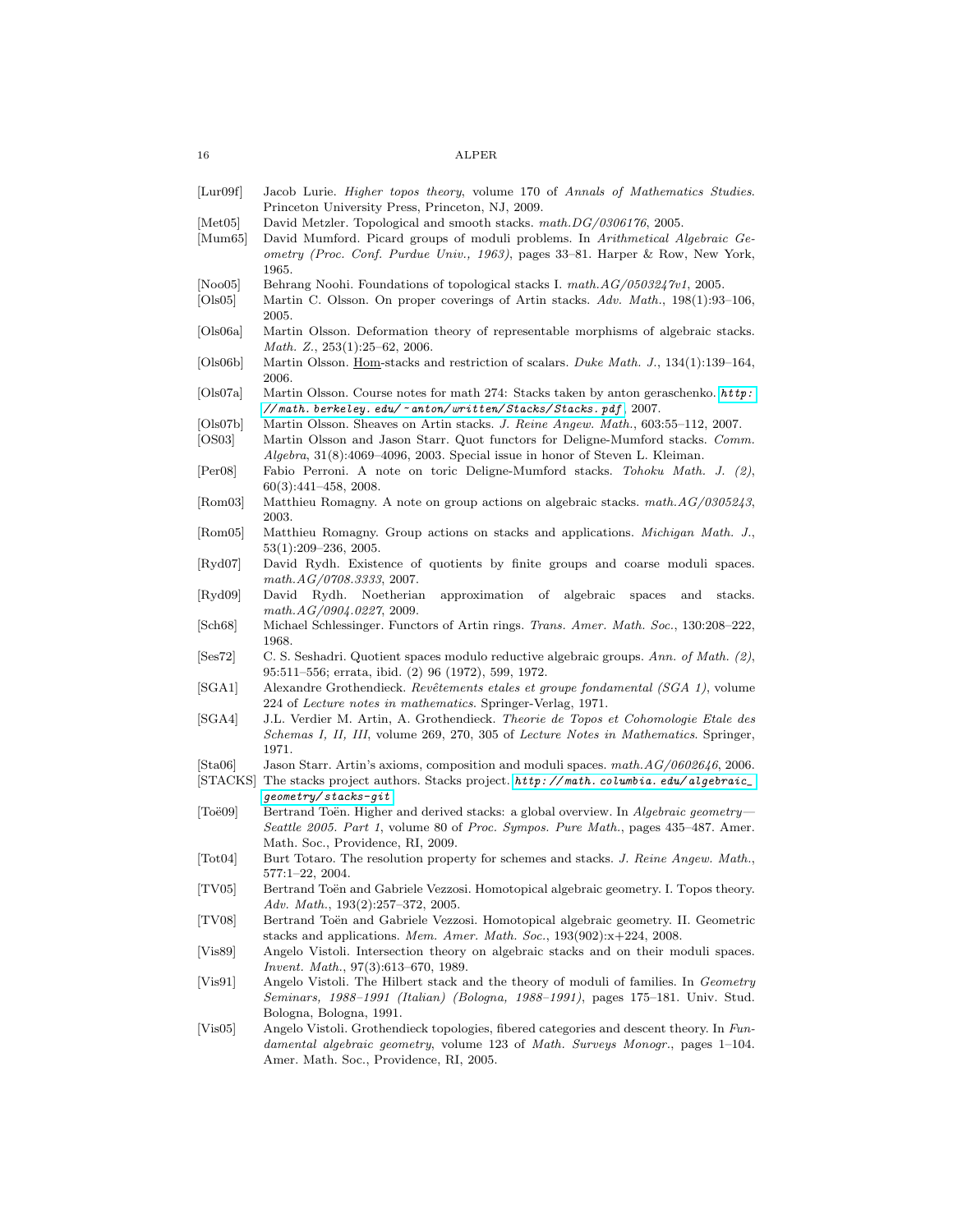<span id="page-15-27"></span><span id="page-15-26"></span><span id="page-15-25"></span><span id="page-15-24"></span><span id="page-15-23"></span><span id="page-15-22"></span><span id="page-15-21"></span><span id="page-15-20"></span><span id="page-15-19"></span><span id="page-15-18"></span><span id="page-15-17"></span><span id="page-15-16"></span><span id="page-15-15"></span><span id="page-15-14"></span><span id="page-15-13"></span><span id="page-15-12"></span><span id="page-15-11"></span><span id="page-15-10"></span><span id="page-15-9"></span><span id="page-15-8"></span><span id="page-15-7"></span><span id="page-15-6"></span><span id="page-15-5"></span><span id="page-15-4"></span><span id="page-15-3"></span><span id="page-15-2"></span><span id="page-15-1"></span><span id="page-15-0"></span>

| $\left[$ Lur $09f\right]$      | Jacob Lurie. Higher topos theory, volume 170 of Annals of Mathematics Studies.<br>Princeton University Press, Princeton, NJ, 2009.                                                                                                              |
|--------------------------------|-------------------------------------------------------------------------------------------------------------------------------------------------------------------------------------------------------------------------------------------------|
| [Met05]<br>Mum65               | David Metzler. Topological and smooth stacks. math. DG/0306176, 2005.<br>David Mumford. Picard groups of moduli problems. In Arithmetical Algebraic Ge-<br>ometry (Proc. Conf. Purdue Univ., 1963), pages 33-81. Harper & Row, New York,        |
| [Noo05]<br>$ O_s05 $           | 1965.<br>Behrang Noohi. Foundations of topological stacks I. $mathAG/0503247v1$ , 2005.<br>Martin C. Olsson. On proper coverings of Artin stacks. Adv. Math., 198(1):93-106,                                                                    |
| Ols06a                         | 2005.<br>Martin Olsson. Deformation theory of representable morphisms of algebraic stacks.                                                                                                                                                      |
| OIs06b                         | <i>Math. Z.</i> , $253(1):25-62$ , $2006$ .<br>Martin Olsson. Hom-stacks and restriction of scalars. Duke Math. J., 134(1):139–164,                                                                                                             |
| Ols07a                         | 2006.                                                                                                                                                                                                                                           |
| OIs07b                         | $//math. between eye. edu/~anton/written/Stacks/Stacks.pdf, 2007.$<br>Martin Olsson. Sheaves on Artin stacks. J. Reine Angew. Math., 603:55-112, 2007.                                                                                          |
| OS03                           | Martin Olsson and Jason Starr. Quot functors for Deligne-Mumford stacks. Comm.<br>$Algebra$ , $31(8)$ :4069–4096, 2003. Special issue in honor of Steven L. Kleiman.                                                                            |
| Per08                          | Fabio Perroni. A note on toric Deligne-Mumford stacks. Tohoku Math. J. $(2)$ ,<br>$60(3):441-458, 2008.$                                                                                                                                        |
| [Rom03]                        | Matthieu Romagny. A note on group actions on algebraic stacks. $mathAG/0305243$ ,<br>2003.                                                                                                                                                      |
| $\vert$ Rom $05\vert$          | Matthieu Romagny. Group actions on stacks and applications. <i>Michigan Math. J.</i> ,<br>$53(1):209-236, 2005.$                                                                                                                                |
| $\lbrack \text{Ryd07} \rbrack$ | David Rydh. Existence of quotients by finite groups and coarse moduli spaces.<br>math.AG/0708.3333, 2007.                                                                                                                                       |
| $\vert$ Ryd09 $\vert$          | David<br>Rydh.<br>Noetherian<br>approximation<br>- of<br>algebraic<br>stacks.<br>spaces<br>and<br>math.AG/0904.0227, 2009.                                                                                                                      |
| $ {\rm Sch68} $                | Michael Schlessinger. Functors of Artin rings. Trans. Amer. Math. Soc., 130:208-222,<br>1968.                                                                                                                                                   |
| Ses72                          | C. S. Seshadri. Quotient spaces modulo reductive algebraic groups. Ann. of Math. (2),<br>95:511-556; errata, ibid. (2) 96 (1972), 599, 1972.                                                                                                    |
| $ {\rm SGA1} $                 | Alexandre Grothendieck. Revêtements etales et groupe fondamental (SGA 1), volume<br>224 of <i>Lecture notes in mathematics</i> . Springer-Verlag, 1971.                                                                                         |
| [SGA4]                         | J.L. Verdier M. Artin, A. Grothendieck. Theorie de Topos et Cohomologie Etale des<br>Schemas I, II, III, volume 269, 270, 305 of Lecture Notes in Mathematics. Springer,<br>1971.                                                               |
| [Sta06]                        | Jason Starr. Artin's axioms, composition and moduli spaces. $mathAG/0602646$ , 2006.<br>[STACKS] The stacks project authors. Stacks project. http://math.columbia.edu/algebraic_                                                                |
| [Toe09]                        | $geometry / stacks - git.$<br>Bertrand Toen. Higher and derived stacks: a global overview. In Algebraic geometry—<br>Seattle 2005. Part 1, volume 80 of Proc. Sympos. Pure Math., pages 435–487. Amer.<br>Math. Soc., Providence, RI, 2009.     |
| $[\text{Tot}04]$               | Burt Totaro. The resolution property for schemes and stacks. J. Reine Angew. Math.,<br>$577:1 - 22, 2004.$                                                                                                                                      |
| [TV05]                         | Bertrand Toën and Gabriele Vezzosi. Homotopical algebraic geometry. I. Topos theory.<br>Adv. Math., 193(2):257-372, 2005.                                                                                                                       |
| [TV08]                         | Bertrand Toën and Gabriele Vezzosi. Homotopical algebraic geometry. II. Geometric<br>stacks and applications. Mem. Amer. Math. Soc., $193(902):x+224$ , 2008.                                                                                   |
| $ V$ is $89 $                  | Angelo Vistoli. Intersection theory on algebraic stacks and on their moduli spaces.<br><i>Invent. Math.</i> , $97(3):613-670$ , 1989.                                                                                                           |
| $\left[\mathrm{Vis91}\right]$  | Angelo Vistoli. The Hilbert stack and the theory of moduli of families. In Geometry<br>Seminars, 1988–1991 (Italian) (Bologna, 1988–1991), pages 175–181. Univ. Stud.                                                                           |
| $ {\rm Vis05} $                | Bologna, Bologna, 1991.<br>Angelo Vistoli. Grothendieck topologies, fibered categories and descent theory. In Fun-<br>damental algebraic geometry, volume 123 of Math. Surveys Monogr., pages 1-104.<br>Amer. Math. Soc., Providence, RI, 2005. |